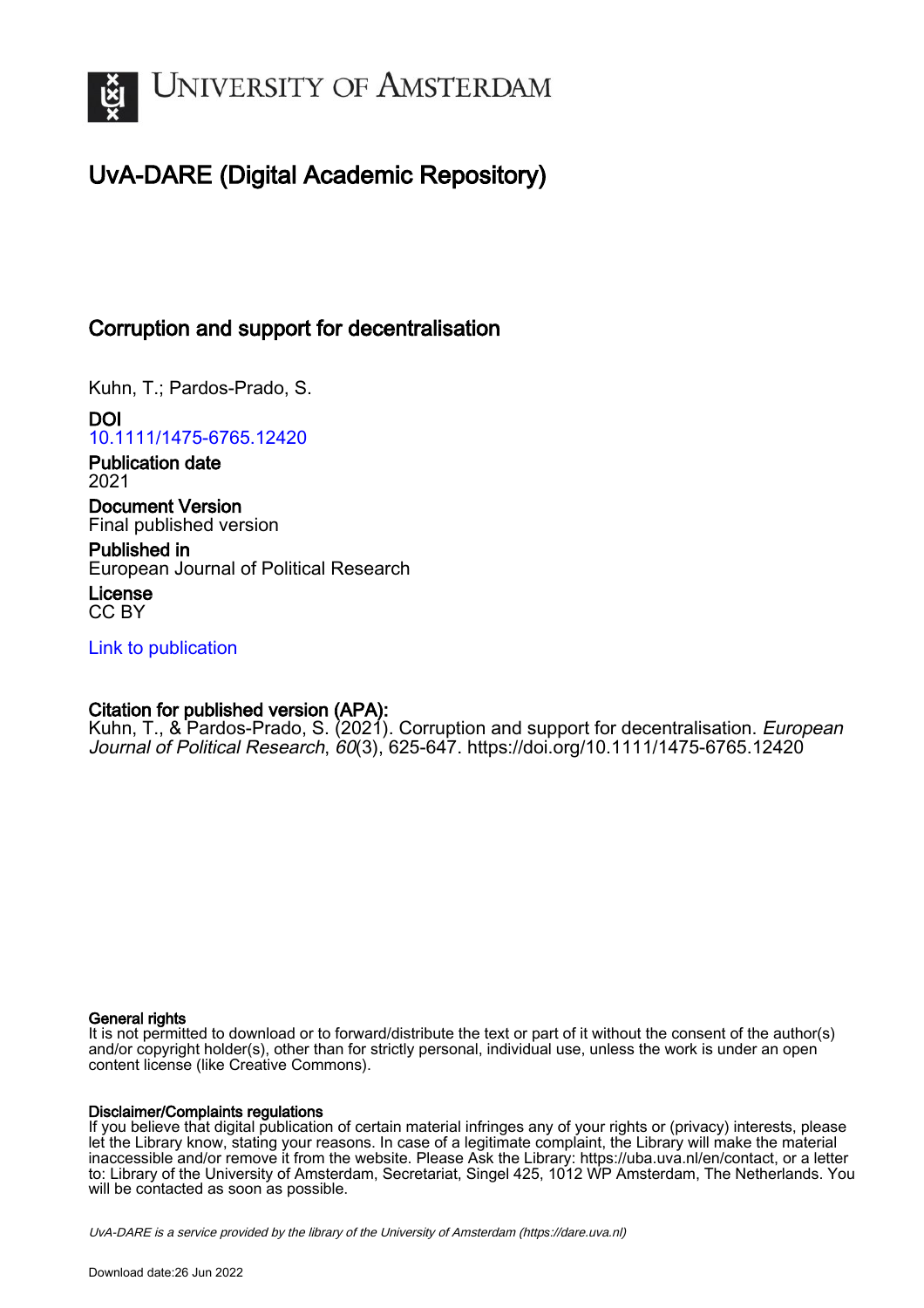

# UvA-DARE (Digital Academic Repository)

# Corruption and support for decentralisation

Kuhn, T.; Pardos-Prado, S.

DOI [10.1111/1475-6765.12420](https://doi.org/10.1111/1475-6765.12420)

Publication date 2021

Document Version Final published version

Published in European Journal of Political Research

License CC BY

[Link to publication](https://dare.uva.nl/personal/pure/en/publications/corruption-and-support-for-decentralisation(d570a610-ad93-4c1d-a22f-3e4751a97a21).html)

# Citation for published version (APA):

Kuhn, T., & Pardos-Prado, S. (2021). Corruption and support for decentralisation. *European* Journal of Political Research, 60(3), 625-647. <https://doi.org/10.1111/1475-6765.12420>

### General rights

It is not permitted to download or to forward/distribute the text or part of it without the consent of the author(s) and/or copyright holder(s), other than for strictly personal, individual use, unless the work is under an open content license (like Creative Commons).

### Disclaimer/Complaints regulations

If you believe that digital publication of certain material infringes any of your rights or (privacy) interests, please let the Library know, stating your reasons. In case of a legitimate complaint, the Library will make the material inaccessible and/or remove it from the website. Please Ask the Library: https://uba.uva.nl/en/contact, or a letter to: Library of the University of Amsterdam, Secretariat, Singel 425, 1012 WP Amsterdam, The Netherlands. You will be contacted as soon as possible.

UvA-DARE is a service provided by the library of the University of Amsterdam (http*s*://dare.uva.nl)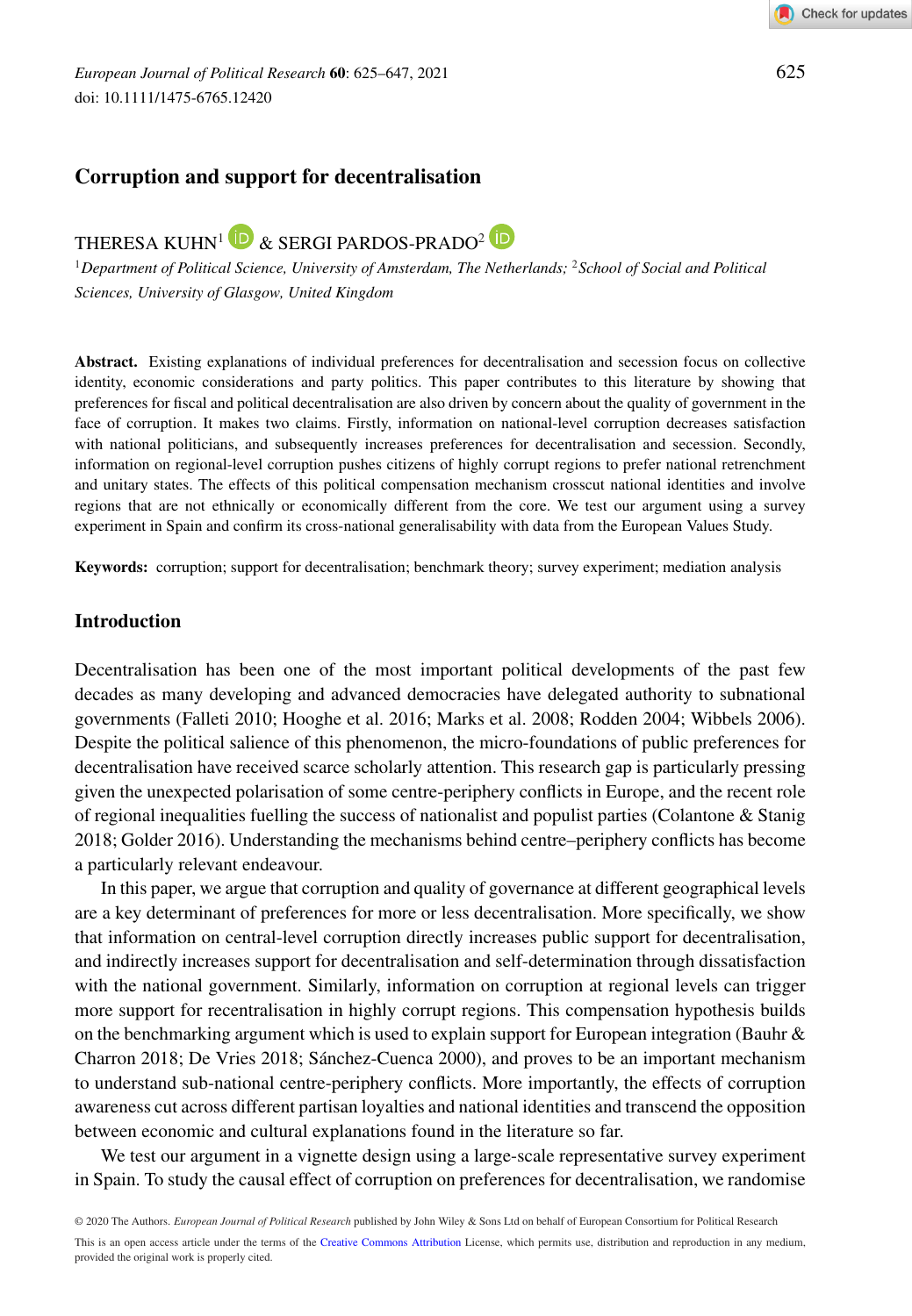# **Corruption and support for decentralisation**

THERESA KUHN<sup>1</sup> **D** & SERGI PARDOS-PRADO<sup>2</sup> **D** 

<sup>1</sup>*Department of Political Science, University of Amsterdam, The Netherlands;* <sup>2</sup>*School of Social and Political Sciences, University of Glasgow, United Kingdom*

**Abstract.** Existing explanations of individual preferences for decentralisation and secession focus on collective identity, economic considerations and party politics. This paper contributes to this literature by showing that preferences for fiscal and political decentralisation are also driven by concern about the quality of government in the face of corruption. It makes two claims. Firstly, information on national-level corruption decreases satisfaction with national politicians, and subsequently increases preferences for decentralisation and secession. Secondly, information on regional-level corruption pushes citizens of highly corrupt regions to prefer national retrenchment and unitary states. The effects of this political compensation mechanism crosscut national identities and involve regions that are not ethnically or economically different from the core. We test our argument using a survey experiment in Spain and confirm its cross-national generalisability with data from the European Values Study.

**Keywords:** corruption; support for decentralisation; benchmark theory; survey experiment; mediation analysis

#### **Introduction**

Decentralisation has been one of the most important political developments of the past few decades as many developing and advanced democracies have delegated authority to subnational governments (Falleti 2010; Hooghe et al. 2016; Marks et al. 2008; Rodden 2004; Wibbels 2006). Despite the political salience of this phenomenon, the micro-foundations of public preferences for decentralisation have received scarce scholarly attention. This research gap is particularly pressing given the unexpected polarisation of some centre-periphery conflicts in Europe, and the recent role of regional inequalities fuelling the success of nationalist and populist parties (Colantone & Stanig 2018; Golder 2016). Understanding the mechanisms behind centre–periphery conflicts has become a particularly relevant endeavour.

In this paper, we argue that corruption and quality of governance at different geographical levels are a key determinant of preferences for more or less decentralisation. More specifically, we show that information on central-level corruption directly increases public support for decentralisation, and indirectly increases support for decentralisation and self-determination through dissatisfaction with the national government. Similarly, information on corruption at regional levels can trigger more support for recentralisation in highly corrupt regions. This compensation hypothesis builds on the benchmarking argument which is used to explain support for European integration (Bauhr & Charron 2018; De Vries 2018; Sánchez-Cuenca 2000), and proves to be an important mechanism to understand sub-national centre-periphery conflicts. More importantly, the effects of corruption awareness cut across different partisan loyalties and national identities and transcend the opposition between economic and cultural explanations found in the literature so far.

We test our argument in a vignette design using a large-scale representative survey experiment in Spain. To study the causal effect of corruption on preferences for decentralisation, we randomise

© 2020 The Authors. *European Journal of Political Research* published by John Wiley & Sons Ltd on behalf of European Consortium for Political Research This is an open access article under the terms of the [Creative Commons Attribution](http://creativecommons.org/licenses/by/4.0/) License, which permits use, distribution and reproduction in any medium, provided the original work is properly cited.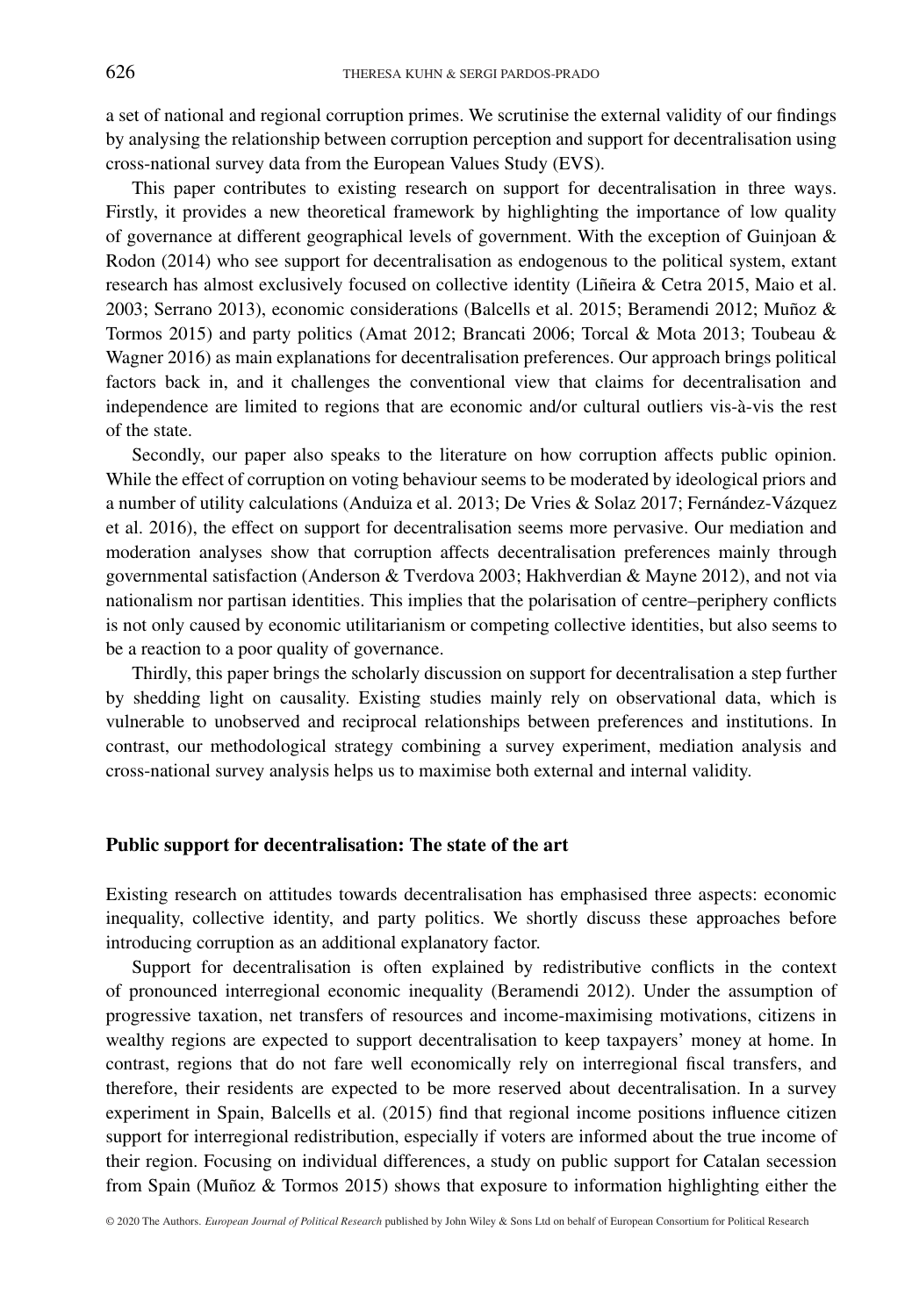a set of national and regional corruption primes. We scrutinise the external validity of our findings by analysing the relationship between corruption perception and support for decentralisation using cross-national survey data from the European Values Study (EVS).

This paper contributes to existing research on support for decentralisation in three ways. Firstly, it provides a new theoretical framework by highlighting the importance of low quality of governance at different geographical levels of government. With the exception of Guinjoan  $\&$ Rodon (2014) who see support for decentralisation as endogenous to the political system, extant research has almost exclusively focused on collective identity (Liñeira & Cetra 2015, Maio et al. 2003; Serrano 2013), economic considerations (Balcells et al. 2015; Beramendi 2012; Muñoz & Tormos 2015) and party politics (Amat 2012; Brancati 2006; Torcal & Mota 2013; Toubeau & Wagner 2016) as main explanations for decentralisation preferences. Our approach brings political factors back in, and it challenges the conventional view that claims for decentralisation and independence are limited to regions that are economic and/or cultural outliers vis-à-vis the rest of the state.

Secondly, our paper also speaks to the literature on how corruption affects public opinion. While the effect of corruption on voting behaviour seems to be moderated by ideological priors and a number of utility calculations (Anduiza et al. 2013; De Vries & Solaz 2017; Fernández-Vázquez et al. 2016), the effect on support for decentralisation seems more pervasive. Our mediation and moderation analyses show that corruption affects decentralisation preferences mainly through governmental satisfaction (Anderson & Tverdova 2003; Hakhverdian & Mayne 2012), and not via nationalism nor partisan identities. This implies that the polarisation of centre–periphery conflicts is not only caused by economic utilitarianism or competing collective identities, but also seems to be a reaction to a poor quality of governance.

Thirdly, this paper brings the scholarly discussion on support for decentralisation a step further by shedding light on causality. Existing studies mainly rely on observational data, which is vulnerable to unobserved and reciprocal relationships between preferences and institutions. In contrast, our methodological strategy combining a survey experiment, mediation analysis and cross-national survey analysis helps us to maximise both external and internal validity.

#### **Public support for decentralisation: The state of the art**

Existing research on attitudes towards decentralisation has emphasised three aspects: economic inequality, collective identity, and party politics. We shortly discuss these approaches before introducing corruption as an additional explanatory factor.

Support for decentralisation is often explained by redistributive conflicts in the context of pronounced interregional economic inequality (Beramendi 2012). Under the assumption of progressive taxation, net transfers of resources and income-maximising motivations, citizens in wealthy regions are expected to support decentralisation to keep taxpayers' money at home. In contrast, regions that do not fare well economically rely on interregional fiscal transfers, and therefore, their residents are expected to be more reserved about decentralisation. In a survey experiment in Spain, Balcells et al. (2015) find that regional income positions influence citizen support for interregional redistribution, especially if voters are informed about the true income of their region. Focusing on individual differences, a study on public support for Catalan secession from Spain (Muñoz & Tormos 2015) shows that exposure to information highlighting either the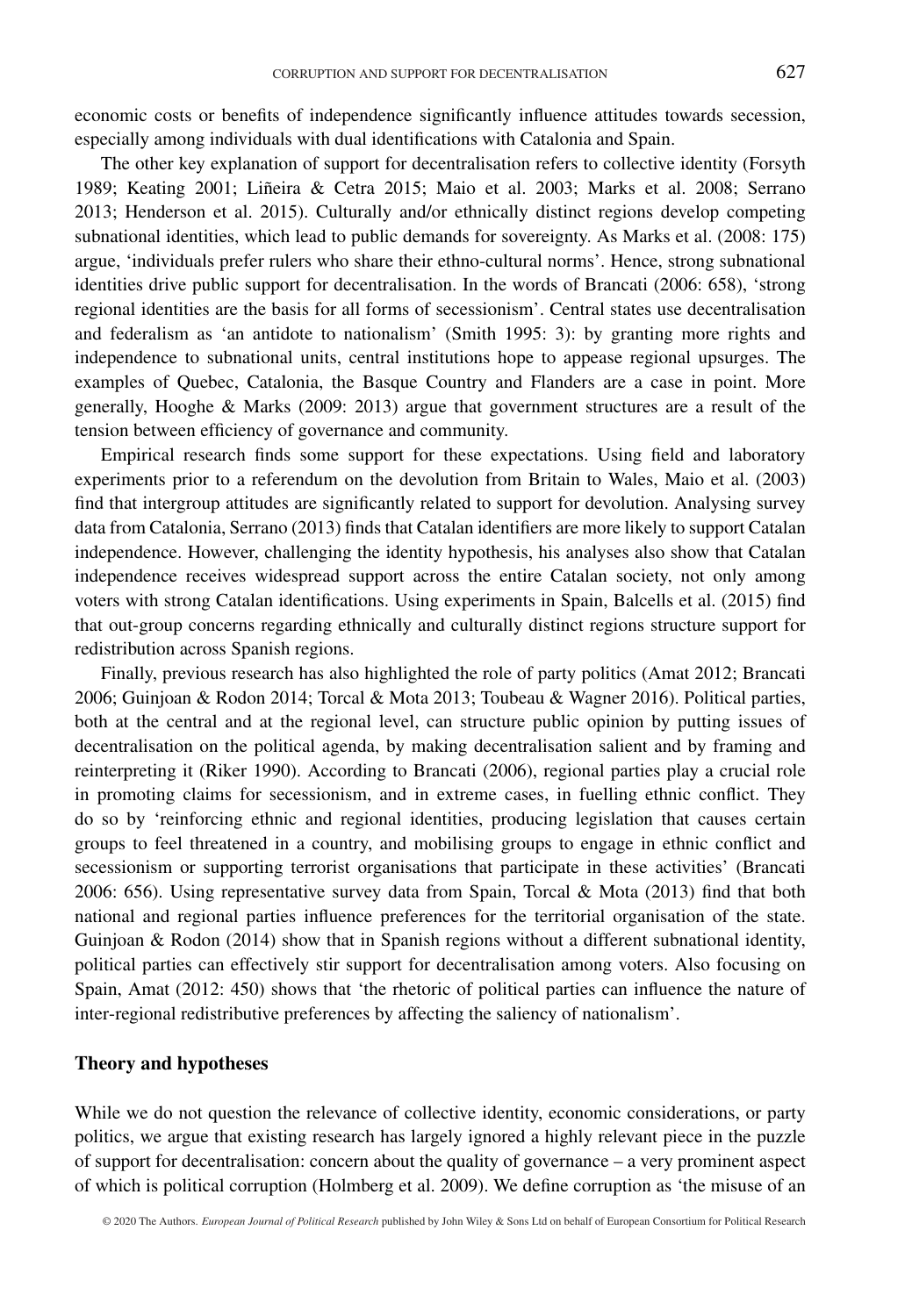economic costs or benefits of independence significantly influence attitudes towards secession, especially among individuals with dual identifications with Catalonia and Spain.

The other key explanation of support for decentralisation refers to collective identity (Forsyth 1989; Keating 2001; Liñeira & Cetra 2015; Maio et al. 2003; Marks et al. 2008; Serrano 2013; Henderson et al. 2015). Culturally and/or ethnically distinct regions develop competing subnational identities, which lead to public demands for sovereignty. As Marks et al. (2008: 175) argue, 'individuals prefer rulers who share their ethno-cultural norms'. Hence, strong subnational identities drive public support for decentralisation. In the words of Brancati (2006: 658), 'strong regional identities are the basis for all forms of secessionism'. Central states use decentralisation and federalism as 'an antidote to nationalism' (Smith 1995: 3): by granting more rights and independence to subnational units, central institutions hope to appease regional upsurges. The examples of Quebec, Catalonia, the Basque Country and Flanders are a case in point. More generally, Hooghe & Marks (2009: 2013) argue that government structures are a result of the tension between efficiency of governance and community.

Empirical research finds some support for these expectations. Using field and laboratory experiments prior to a referendum on the devolution from Britain to Wales, Maio et al. (2003) find that intergroup attitudes are significantly related to support for devolution. Analysing survey data from Catalonia, Serrano (2013) finds that Catalan identifiers are more likely to support Catalan independence. However, challenging the identity hypothesis, his analyses also show that Catalan independence receives widespread support across the entire Catalan society, not only among voters with strong Catalan identifications. Using experiments in Spain, Balcells et al. (2015) find that out-group concerns regarding ethnically and culturally distinct regions structure support for redistribution across Spanish regions.

Finally, previous research has also highlighted the role of party politics (Amat 2012; Brancati 2006; Guinjoan & Rodon 2014; Torcal & Mota 2013; Toubeau & Wagner 2016). Political parties, both at the central and at the regional level, can structure public opinion by putting issues of decentralisation on the political agenda, by making decentralisation salient and by framing and reinterpreting it (Riker 1990). According to Brancati (2006), regional parties play a crucial role in promoting claims for secessionism, and in extreme cases, in fuelling ethnic conflict. They do so by 'reinforcing ethnic and regional identities, producing legislation that causes certain groups to feel threatened in a country, and mobilising groups to engage in ethnic conflict and secessionism or supporting terrorist organisations that participate in these activities' (Brancati 2006: 656). Using representative survey data from Spain, Torcal & Mota (2013) find that both national and regional parties influence preferences for the territorial organisation of the state. Guinjoan & Rodon (2014) show that in Spanish regions without a different subnational identity, political parties can effectively stir support for decentralisation among voters. Also focusing on Spain, Amat (2012: 450) shows that 'the rhetoric of political parties can influence the nature of inter-regional redistributive preferences by affecting the saliency of nationalism'.

#### **Theory and hypotheses**

While we do not question the relevance of collective identity, economic considerations, or party politics, we argue that existing research has largely ignored a highly relevant piece in the puzzle of support for decentralisation: concern about the quality of governance – a very prominent aspect of which is political corruption (Holmberg et al. 2009). We define corruption as 'the misuse of an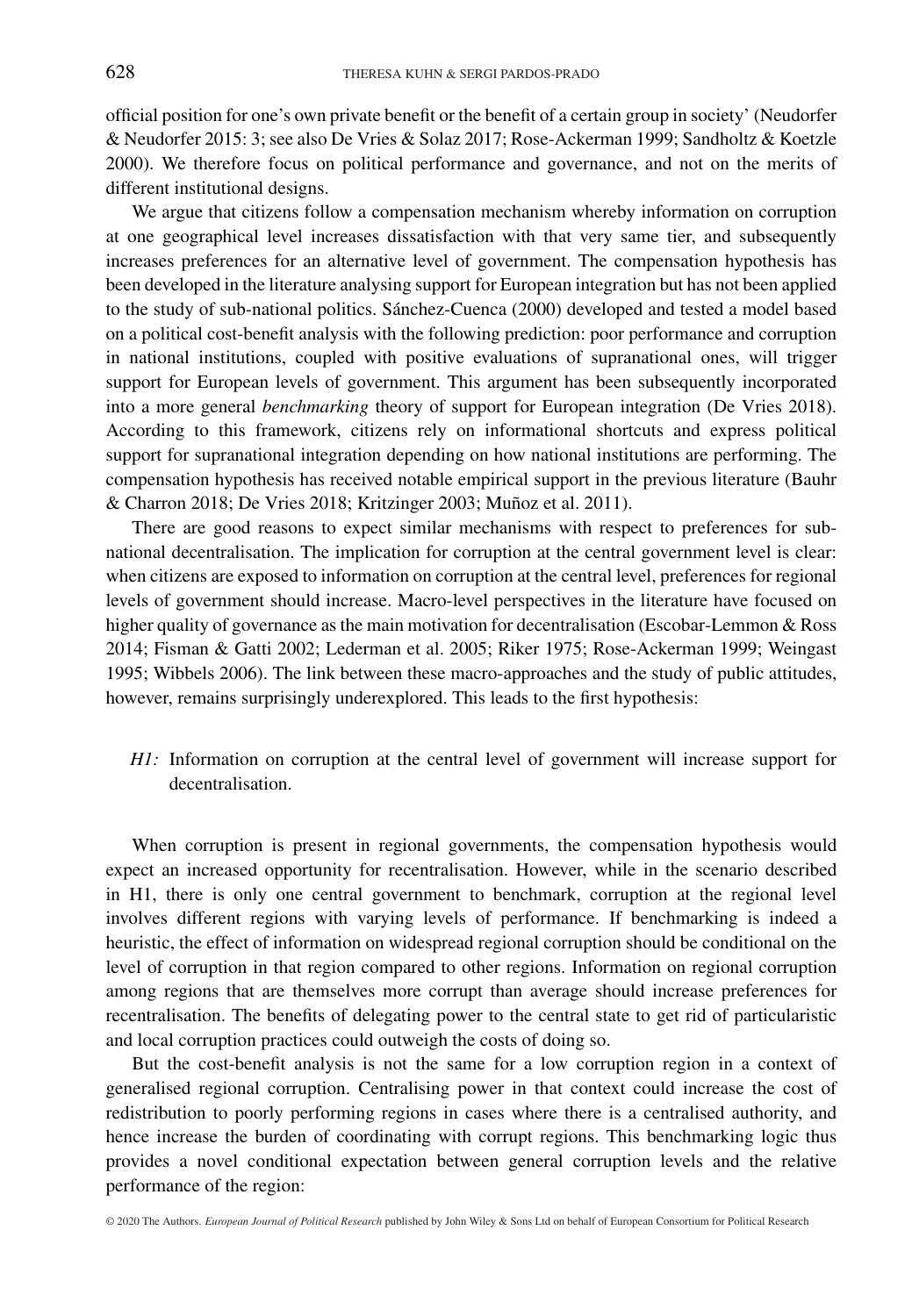official position for one's own private benefit or the benefit of a certain group in society' (Neudorfer & Neudorfer 2015: 3; see also De Vries & Solaz 2017; Rose-Ackerman 1999; Sandholtz & Koetzle 2000). We therefore focus on political performance and governance, and not on the merits of different institutional designs.

We argue that citizens follow a compensation mechanism whereby information on corruption at one geographical level increases dissatisfaction with that very same tier, and subsequently increases preferences for an alternative level of government. The compensation hypothesis has been developed in the literature analysing support for European integration but has not been applied to the study of sub-national politics. Sánchez-Cuenca (2000) developed and tested a model based on a political cost-benefit analysis with the following prediction: poor performance and corruption in national institutions, coupled with positive evaluations of supranational ones, will trigger support for European levels of government. This argument has been subsequently incorporated into a more general *benchmarking* theory of support for European integration (De Vries 2018). According to this framework, citizens rely on informational shortcuts and express political support for supranational integration depending on how national institutions are performing. The compensation hypothesis has received notable empirical support in the previous literature (Bauhr & Charron 2018; De Vries 2018; Kritzinger 2003; Muñoz et al. 2011).

There are good reasons to expect similar mechanisms with respect to preferences for subnational decentralisation. The implication for corruption at the central government level is clear: when citizens are exposed to information on corruption at the central level, preferences for regional levels of government should increase. Macro-level perspectives in the literature have focused on higher quality of governance as the main motivation for decentralisation (Escobar-Lemmon & Ross 2014; Fisman & Gatti 2002; Lederman et al. 2005; Riker 1975; Rose-Ackerman 1999; Weingast 1995; Wibbels 2006). The link between these macro-approaches and the study of public attitudes, however, remains surprisingly underexplored. This leads to the first hypothesis:

*H1:* Information on corruption at the central level of government will increase support for decentralisation.

When corruption is present in regional governments, the compensation hypothesis would expect an increased opportunity for recentralisation. However, while in the scenario described in H1, there is only one central government to benchmark, corruption at the regional level involves different regions with varying levels of performance. If benchmarking is indeed a heuristic, the effect of information on widespread regional corruption should be conditional on the level of corruption in that region compared to other regions. Information on regional corruption among regions that are themselves more corrupt than average should increase preferences for recentralisation. The benefits of delegating power to the central state to get rid of particularistic and local corruption practices could outweigh the costs of doing so.

But the cost-benefit analysis is not the same for a low corruption region in a context of generalised regional corruption. Centralising power in that context could increase the cost of redistribution to poorly performing regions in cases where there is a centralised authority, and hence increase the burden of coordinating with corrupt regions. This benchmarking logic thus provides a novel conditional expectation between general corruption levels and the relative performance of the region:

© 2020 The Authors. *European Journal of Political Research* published by John Wiley & Sons Ltd on behalf of European Consortium for Political Research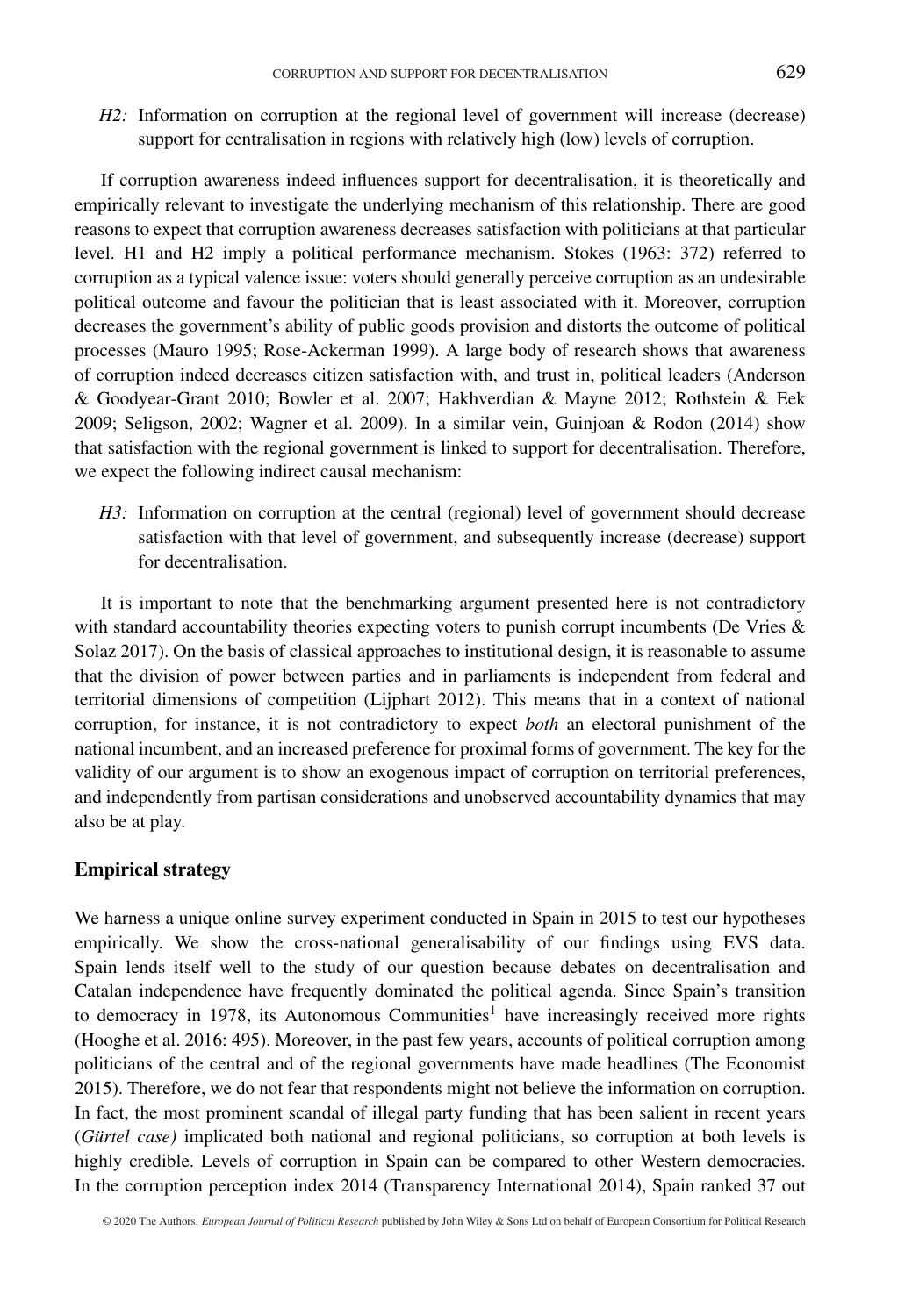*H2*: Information on corruption at the regional level of government will increase (decrease) support for centralisation in regions with relatively high (low) levels of corruption.

If corruption awareness indeed influences support for decentralisation, it is theoretically and empirically relevant to investigate the underlying mechanism of this relationship. There are good reasons to expect that corruption awareness decreases satisfaction with politicians at that particular level. H1 and H2 imply a political performance mechanism. Stokes (1963: 372) referred to corruption as a typical valence issue: voters should generally perceive corruption as an undesirable political outcome and favour the politician that is least associated with it. Moreover, corruption decreases the government's ability of public goods provision and distorts the outcome of political processes (Mauro 1995; Rose-Ackerman 1999). A large body of research shows that awareness of corruption indeed decreases citizen satisfaction with, and trust in, political leaders (Anderson & Goodyear-Grant 2010; Bowler et al. 2007; Hakhverdian & Mayne 2012; Rothstein & Eek 2009; Seligson, 2002; Wagner et al. 2009). In a similar vein, Guinjoan & Rodon (2014) show that satisfaction with the regional government is linked to support for decentralisation. Therefore, we expect the following indirect causal mechanism:

*H3:* Information on corruption at the central (regional) level of government should decrease satisfaction with that level of government, and subsequently increase (decrease) support for decentralisation.

It is important to note that the benchmarking argument presented here is not contradictory with standard accountability theories expecting voters to punish corrupt incumbents (De Vries  $\&$ Solaz 2017). On the basis of classical approaches to institutional design, it is reasonable to assume that the division of power between parties and in parliaments is independent from federal and territorial dimensions of competition (Lijphart 2012). This means that in a context of national corruption, for instance, it is not contradictory to expect *both* an electoral punishment of the national incumbent, and an increased preference for proximal forms of government. The key for the validity of our argument is to show an exogenous impact of corruption on territorial preferences, and independently from partisan considerations and unobserved accountability dynamics that may also be at play.

#### **Empirical strategy**

We harness a unique online survey experiment conducted in Spain in 2015 to test our hypotheses empirically. We show the cross-national generalisability of our findings using EVS data. Spain lends itself well to the study of our question because debates on decentralisation and Catalan independence have frequently dominated the political agenda. Since Spain's transition to democracy in 1978, its Autonomous Communities<sup>1</sup> have increasingly received more rights (Hooghe et al. 2016: 495). Moreover, in the past few years, accounts of political corruption among politicians of the central and of the regional governments have made headlines (The Economist 2015). Therefore, we do not fear that respondents might not believe the information on corruption. In fact, the most prominent scandal of illegal party funding that has been salient in recent years (*Gürtel case)* implicated both national and regional politicians, so corruption at both levels is highly credible. Levels of corruption in Spain can be compared to other Western democracies. In the corruption perception index 2014 (Transparency International 2014), Spain ranked 37 out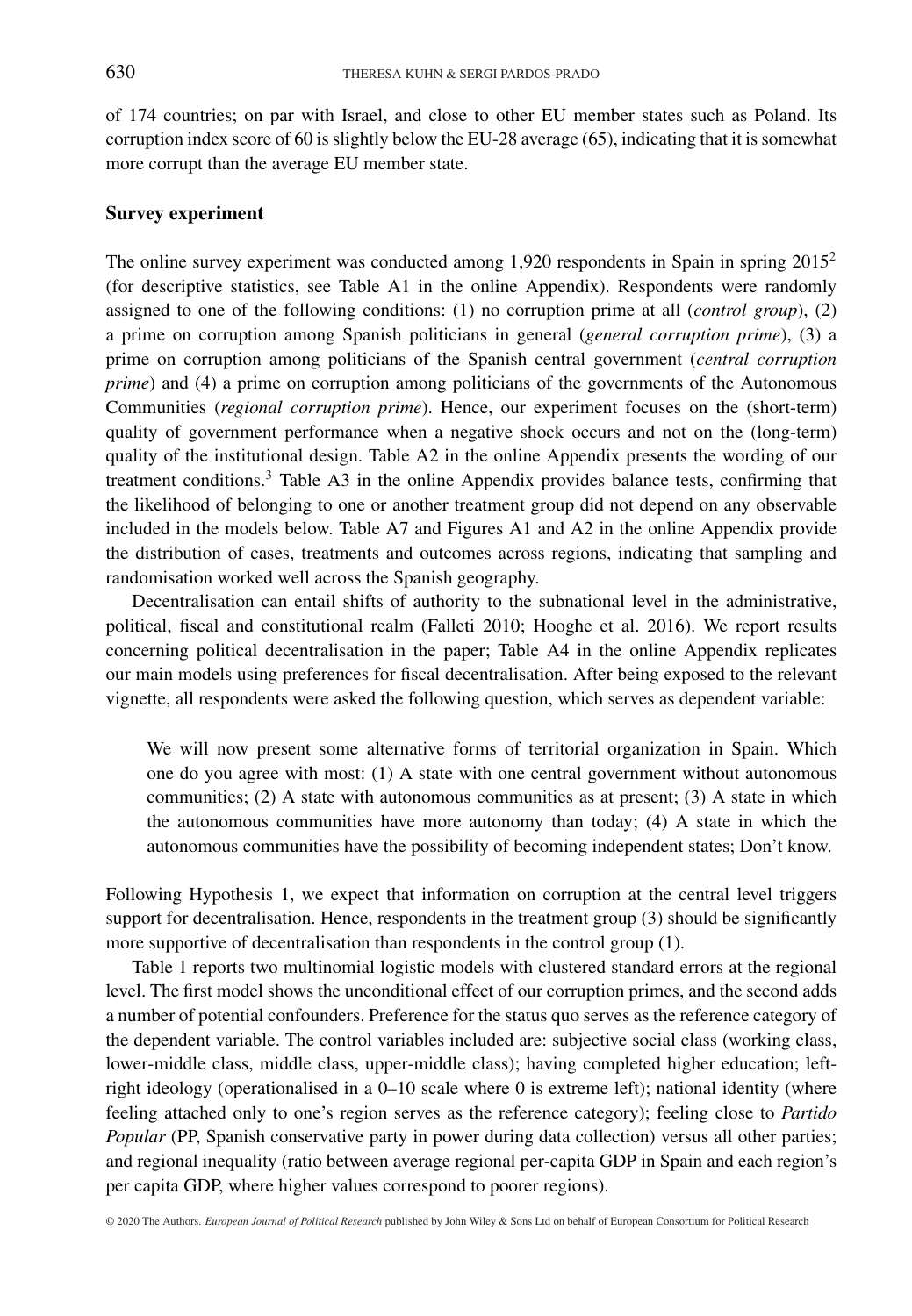of 174 countries; on par with Israel, and close to other EU member states such as Poland. Its corruption index score of 60 is slightly below the EU-28 average (65), indicating that it is somewhat more corrupt than the average EU member state.

#### **Survey experiment**

The online survey experiment was conducted among 1,920 respondents in Spain in spring 20152 (for descriptive statistics, see Table A1 in the online Appendix). Respondents were randomly assigned to one of the following conditions: (1) no corruption prime at all (*control group*), (2) a prime on corruption among Spanish politicians in general (*general corruption prime*), (3) a prime on corruption among politicians of the Spanish central government (*central corruption prime*) and (4) a prime on corruption among politicians of the governments of the Autonomous Communities (*regional corruption prime*). Hence, our experiment focuses on the (short-term) quality of government performance when a negative shock occurs and not on the (long-term) quality of the institutional design. Table A2 in the online Appendix presents the wording of our treatment conditions.<sup>3</sup> Table A3 in the online Appendix provides balance tests, confirming that the likelihood of belonging to one or another treatment group did not depend on any observable included in the models below. Table A7 and Figures A1 and A2 in the online Appendix provide the distribution of cases, treatments and outcomes across regions, indicating that sampling and randomisation worked well across the Spanish geography.

Decentralisation can entail shifts of authority to the subnational level in the administrative, political, fiscal and constitutional realm (Falleti 2010; Hooghe et al. 2016). We report results concerning political decentralisation in the paper; Table A4 in the online Appendix replicates our main models using preferences for fiscal decentralisation. After being exposed to the relevant vignette, all respondents were asked the following question, which serves as dependent variable:

We will now present some alternative forms of territorial organization in Spain. Which one do you agree with most: (1) A state with one central government without autonomous communities; (2) A state with autonomous communities as at present; (3) A state in which the autonomous communities have more autonomy than today; (4) A state in which the autonomous communities have the possibility of becoming independent states; Don't know.

Following Hypothesis 1, we expect that information on corruption at the central level triggers support for decentralisation. Hence, respondents in the treatment group (3) should be significantly more supportive of decentralisation than respondents in the control group (1).

Table 1 reports two multinomial logistic models with clustered standard errors at the regional level. The first model shows the unconditional effect of our corruption primes, and the second adds a number of potential confounders. Preference for the status quo serves as the reference category of the dependent variable. The control variables included are: subjective social class (working class, lower-middle class, middle class, upper-middle class); having completed higher education; leftright ideology (operationalised in a 0–10 scale where 0 is extreme left); national identity (where feeling attached only to one's region serves as the reference category); feeling close to *Partido Popular* (PP, Spanish conservative party in power during data collection) versus all other parties; and regional inequality (ratio between average regional per-capita GDP in Spain and each region's per capita GDP, where higher values correspond to poorer regions).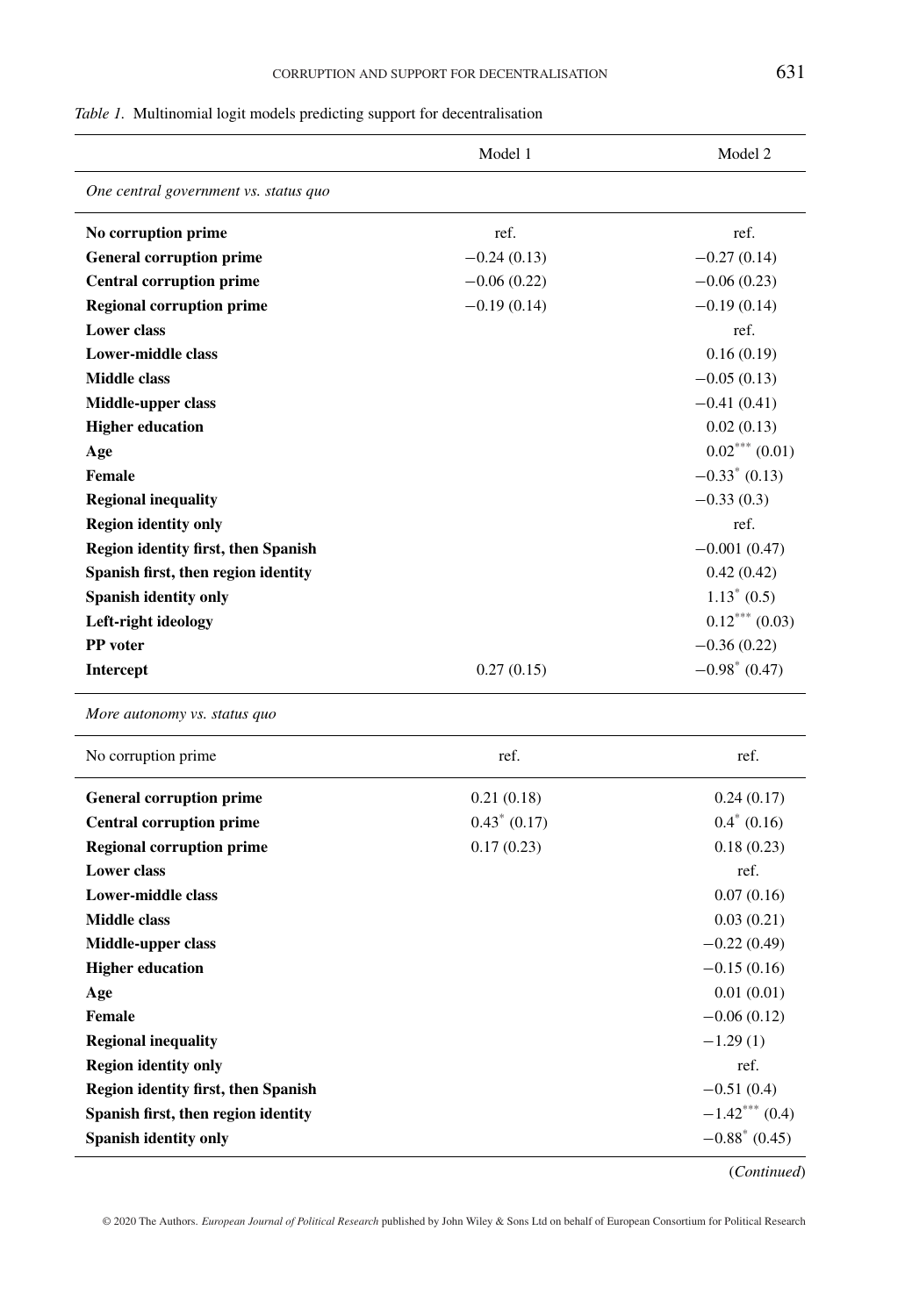| v                                       |  |
|-----------------------------------------|--|
| ٠                                       |  |
| I<br>۰.<br>۰.<br>×<br>M.<br>v<br>×<br>٠ |  |

|  |  |  |  |  | Table 1. Multinomial logit models predicting support for decentralisation |
|--|--|--|--|--|---------------------------------------------------------------------------|
|--|--|--|--|--|---------------------------------------------------------------------------|

|                                            | Model 1         | Model 2          |
|--------------------------------------------|-----------------|------------------|
| One central government vs. status quo      |                 |                  |
| No corruption prime                        | ref.            | ref.             |
| <b>General corruption prime</b>            | $-0.24(0.13)$   | $-0.27(0.14)$    |
| <b>Central corruption prime</b>            | $-0.06(0.22)$   | $-0.06(0.23)$    |
| <b>Regional corruption prime</b>           | $-0.19(0.14)$   | $-0.19(0.14)$    |
| <b>Lower</b> class                         |                 | ref.             |
| Lower-middle class                         |                 | 0.16(0.19)       |
| Middle class                               |                 | $-0.05(0.13)$    |
| Middle-upper class                         |                 | $-0.41(0.41)$    |
| <b>Higher education</b>                    |                 | 0.02(0.13)       |
| Age                                        |                 | $0.02***(0.01)$  |
| Female                                     |                 | $-0.33^*$ (0.13) |
| <b>Regional inequality</b>                 |                 | $-0.33(0.3)$     |
| <b>Region identity only</b>                |                 | ref.             |
| <b>Region identity first, then Spanish</b> |                 | $-0.001(0.47)$   |
| Spanish first, then region identity        |                 | 0.42(0.42)       |
| Spanish identity only                      |                 | $1.13^* (0.5)$   |
| Left-right ideology                        |                 | $0.12***(0.03)$  |
| PP voter                                   |                 | $-0.36(0.22)$    |
| <b>Intercept</b>                           | 0.27(0.15)      | $-0.98^*$ (0.47) |
| More autonomy vs. status quo               |                 |                  |
| No corruption prime                        | ref.            | ref.             |
| <b>General corruption prime</b>            | 0.21(0.18)      | 0.24(0.17)       |
| <b>Central corruption prime</b>            | $0.43^*$ (0.17) | $0.4^*$ (0.16)   |
| <b>Regional corruption prime</b>           | 0.17(0.23)      | 0.18(0.23)       |
| <b>Lower</b> class                         |                 | ref.             |
| <b>Lower-middle class</b>                  |                 | 0.07(0.16)       |
| <b>Middle class</b>                        |                 | 0.03(0.21)       |
| Middle-upper class                         |                 | $-0.22(0.49)$    |
| <b>Higher education</b>                    |                 | $-0.15(0.16)$    |
| Age                                        |                 | 0.01(0.01)       |
| Female                                     |                 | $-0.06(0.12)$    |
| <b>Regional inequality</b>                 |                 | $-1.29(1)$       |
| <b>Region identity only</b>                |                 | ref.             |
| Region identity first, then Spanish        |                 | $-0.51(0.4)$     |
| Spanish first, then region identity        |                 | $-1.42***$ (0.4) |
| Spanish identity only                      |                 | $-0.88^*$ (0.45) |

(*Continued*)

© 2020 The Authors. *European Journal of Political Research* published by John Wiley & Sons Ltd on behalf of European Consortium for Political Research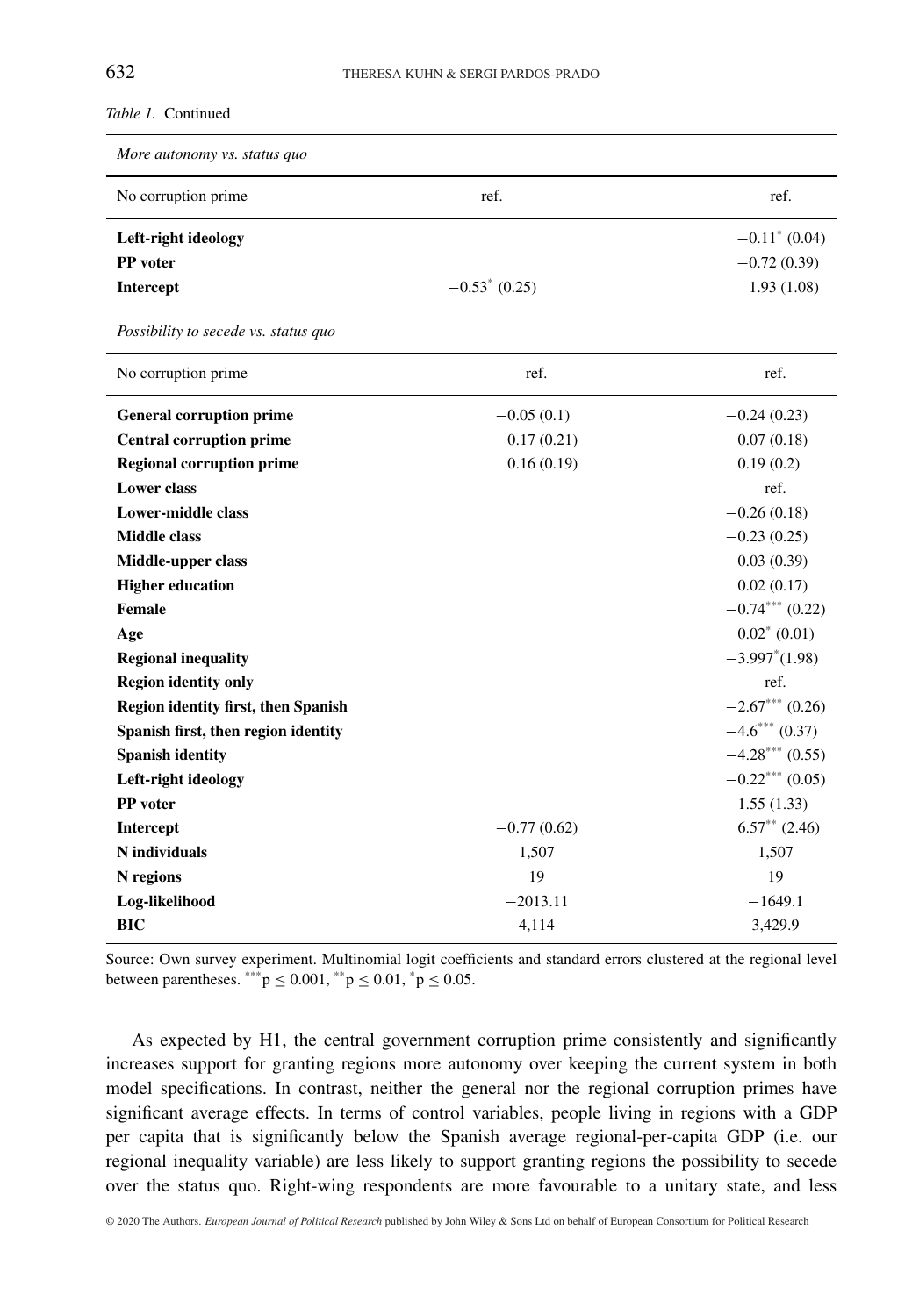*Table 1.* Continued

| More autonomy vs. status quo               |                  |                          |
|--------------------------------------------|------------------|--------------------------|
| No corruption prime                        | ref.             | ref.                     |
| Left-right ideology                        |                  | $-0.11^*$ (0.04)         |
| PP voter                                   |                  | $-0.72(0.39)$            |
| Intercept                                  | $-0.53^*$ (0.25) | 1.93(1.08)               |
| Possibility to secede vs. status quo       |                  |                          |
| No corruption prime                        | ref.             | ref.                     |
| <b>General corruption prime</b>            | $-0.05(0.1)$     | $-0.24(0.23)$            |
| <b>Central corruption prime</b>            | 0.17(0.21)       | 0.07(0.18)               |
| <b>Regional corruption prime</b>           | 0.16(0.19)       | 0.19(0.2)                |
| <b>Lower</b> class                         |                  | ref.                     |
| <b>Lower-middle class</b>                  |                  | $-0.26(0.18)$            |
| <b>Middle class</b>                        |                  | $-0.23(0.25)$            |
| Middle-upper class                         |                  | 0.03(0.39)               |
| <b>Higher education</b>                    |                  | 0.02(0.17)               |
| <b>Female</b>                              |                  | $-0.74***(0.22)$         |
| Age                                        |                  | $0.02^*$ (0.01)          |
| <b>Regional inequality</b>                 |                  | $-3.997^*(1.98)$         |
| <b>Region identity only</b>                |                  | ref.                     |
| <b>Region identity first, then Spanish</b> |                  | $-2.67***$ (0.26)        |
| Spanish first, then region identity        |                  | $-4.6***(0.37)$          |
| <b>Spanish identity</b>                    |                  | $-4.28***(0.55)$         |
| Left-right ideology                        |                  | $-0.22$ *** (0.05)       |
| PP voter                                   |                  | $-1.55(1.33)$            |
| Intercept                                  | $-0.77(0.62)$    | $6.57^{\ast\ast}$ (2.46) |
| N individuals                              | 1,507            | 1,507                    |
| N regions                                  | 19               | 19                       |
| Log-likelihood                             | $-2013.11$       | $-1649.1$                |
| <b>BIC</b>                                 | 4,114            | 3,429.9                  |

Source: Own survey experiment. Multinomial logit coefficients and standard errors clustered at the regional level between parentheses. \*\*\*  $p \le 0.001$ , \*\*  $p \le 0.01$ , \* $p \le 0.05$ .

As expected by H1, the central government corruption prime consistently and significantly increases support for granting regions more autonomy over keeping the current system in both model specifications. In contrast, neither the general nor the regional corruption primes have significant average effects. In terms of control variables, people living in regions with a GDP per capita that is significantly below the Spanish average regional-per-capita GDP (i.e. our regional inequality variable) are less likely to support granting regions the possibility to secede over the status quo. Right-wing respondents are more favourable to a unitary state, and less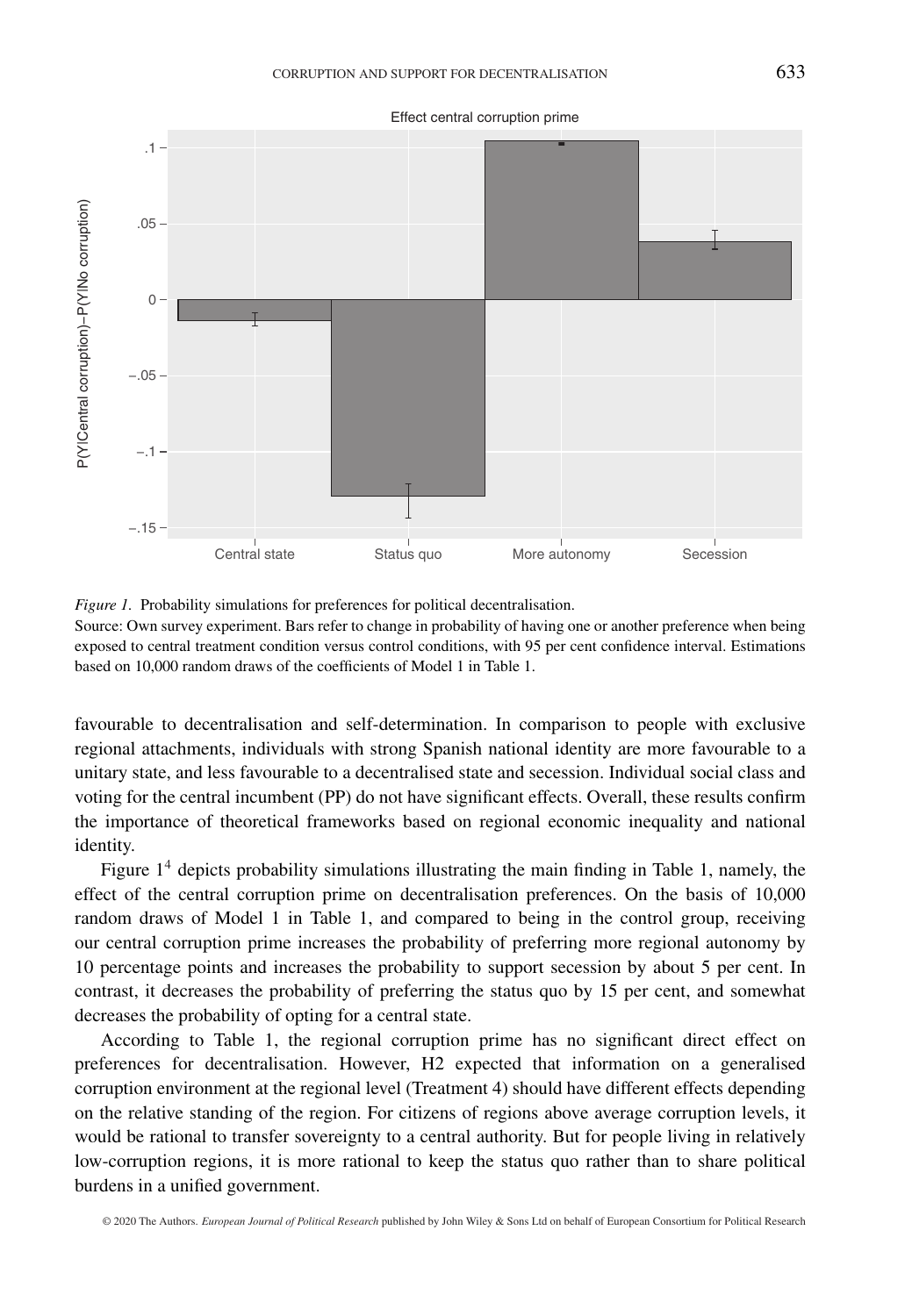

Effect central corruption prime

*Figure 1.* Probability simulations for preferences for political decentralisation.

Source: Own survey experiment. Bars refer to change in probability of having one or another preference when being exposed to central treatment condition versus control conditions, with 95 per cent confidence interval. Estimations based on 10,000 random draws of the coefficients of Model 1 in Table 1.

favourable to decentralisation and self-determination. In comparison to people with exclusive regional attachments, individuals with strong Spanish national identity are more favourable to a unitary state, and less favourable to a decentralised state and secession. Individual social class and voting for the central incumbent (PP) do not have significant effects. Overall, these results confirm the importance of theoretical frameworks based on regional economic inequality and national identity.

Figure  $1<sup>4</sup>$  depicts probability simulations illustrating the main finding in Table 1, namely, the effect of the central corruption prime on decentralisation preferences. On the basis of 10,000 random draws of Model 1 in Table 1, and compared to being in the control group, receiving our central corruption prime increases the probability of preferring more regional autonomy by 10 percentage points and increases the probability to support secession by about 5 per cent. In contrast, it decreases the probability of preferring the status quo by 15 per cent, and somewhat decreases the probability of opting for a central state.

According to Table 1, the regional corruption prime has no significant direct effect on preferences for decentralisation. However, H2 expected that information on a generalised corruption environment at the regional level (Treatment 4) should have different effects depending on the relative standing of the region. For citizens of regions above average corruption levels, it would be rational to transfer sovereignty to a central authority. But for people living in relatively low-corruption regions, it is more rational to keep the status quo rather than to share political burdens in a unified government.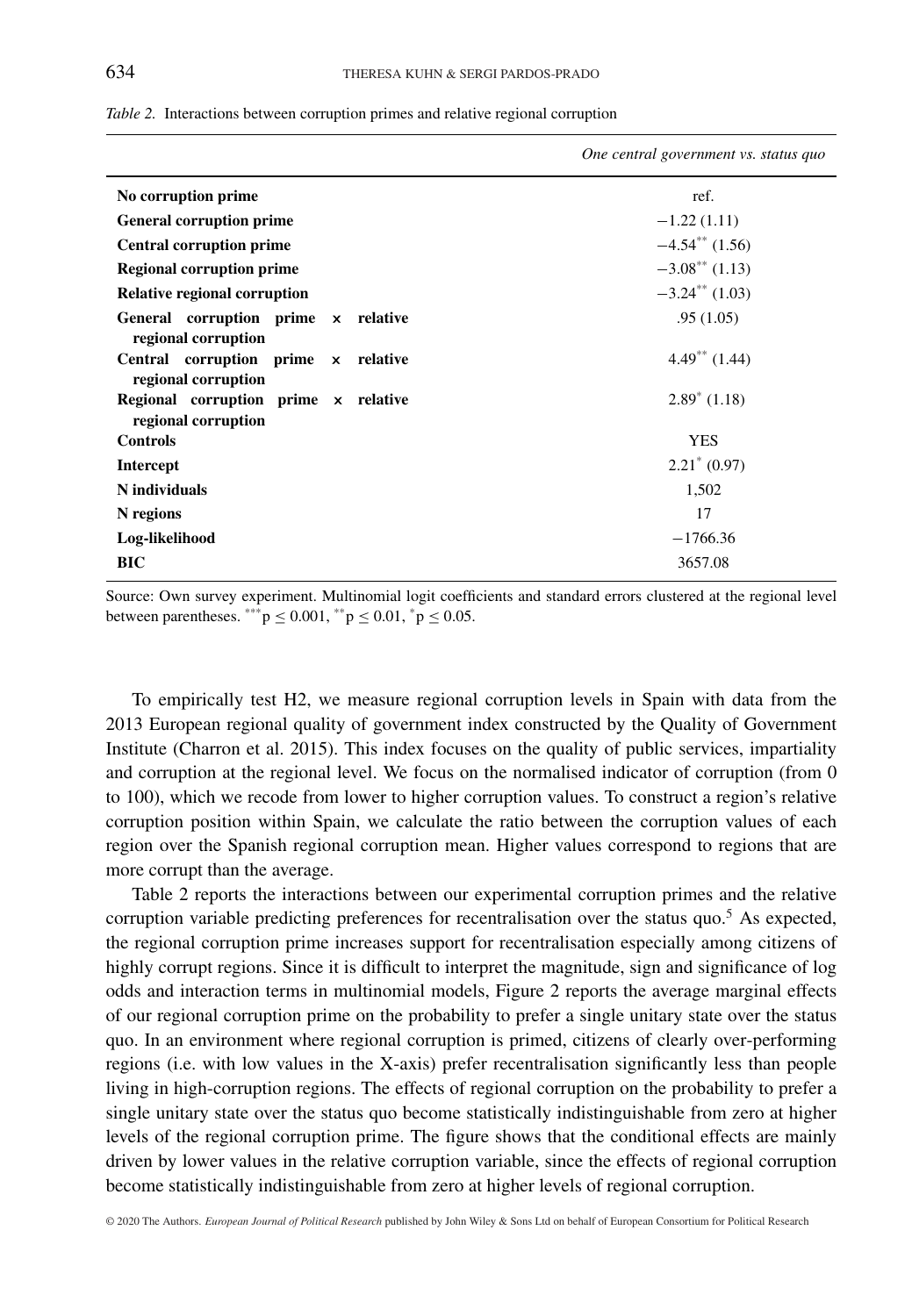| One central government vs. status quo |
|---------------------------------------|
| ref.                                  |
| $-1.22(1.11)$                         |
| $-4.54**$ (1.56)                      |
| $-3.08^{\ast\ast}$ (1.13)             |
| $-3.24$ <sup>**</sup> (1.03)          |
| .95(1.05)                             |
| $4.49**$ (1.44)                       |
| $2.89^*$ (1.18)                       |
| <b>YES</b>                            |
| $2.21^* (0.97)$                       |
| 1,502                                 |
| 17                                    |
| $-1766.36$                            |
| 3657.08                               |
|                                       |

*Table 2.* Interactions between corruption primes and relative regional corruption

Source: Own survey experiment. Multinomial logit coefficients and standard errors clustered at the regional level between parentheses. \*\*\*  $p \le 0.001$ , \*\* $p \le 0.01$ , \* $p \le 0.05$ .

To empirically test H2, we measure regional corruption levels in Spain with data from the 2013 European regional quality of government index constructed by the Quality of Government Institute (Charron et al. 2015). This index focuses on the quality of public services, impartiality and corruption at the regional level. We focus on the normalised indicator of corruption (from 0 to 100), which we recode from lower to higher corruption values. To construct a region's relative corruption position within Spain, we calculate the ratio between the corruption values of each region over the Spanish regional corruption mean. Higher values correspond to regions that are more corrupt than the average.

Table 2 reports the interactions between our experimental corruption primes and the relative corruption variable predicting preferences for recentralisation over the status quo.<sup>5</sup> As expected, the regional corruption prime increases support for recentralisation especially among citizens of highly corrupt regions. Since it is difficult to interpret the magnitude, sign and significance of log odds and interaction terms in multinomial models, Figure 2 reports the average marginal effects of our regional corruption prime on the probability to prefer a single unitary state over the status quo. In an environment where regional corruption is primed, citizens of clearly over-performing regions (i.e. with low values in the X-axis) prefer recentralisation significantly less than people living in high-corruption regions. The effects of regional corruption on the probability to prefer a single unitary state over the status quo become statistically indistinguishable from zero at higher levels of the regional corruption prime. The figure shows that the conditional effects are mainly driven by lower values in the relative corruption variable, since the effects of regional corruption become statistically indistinguishable from zero at higher levels of regional corruption.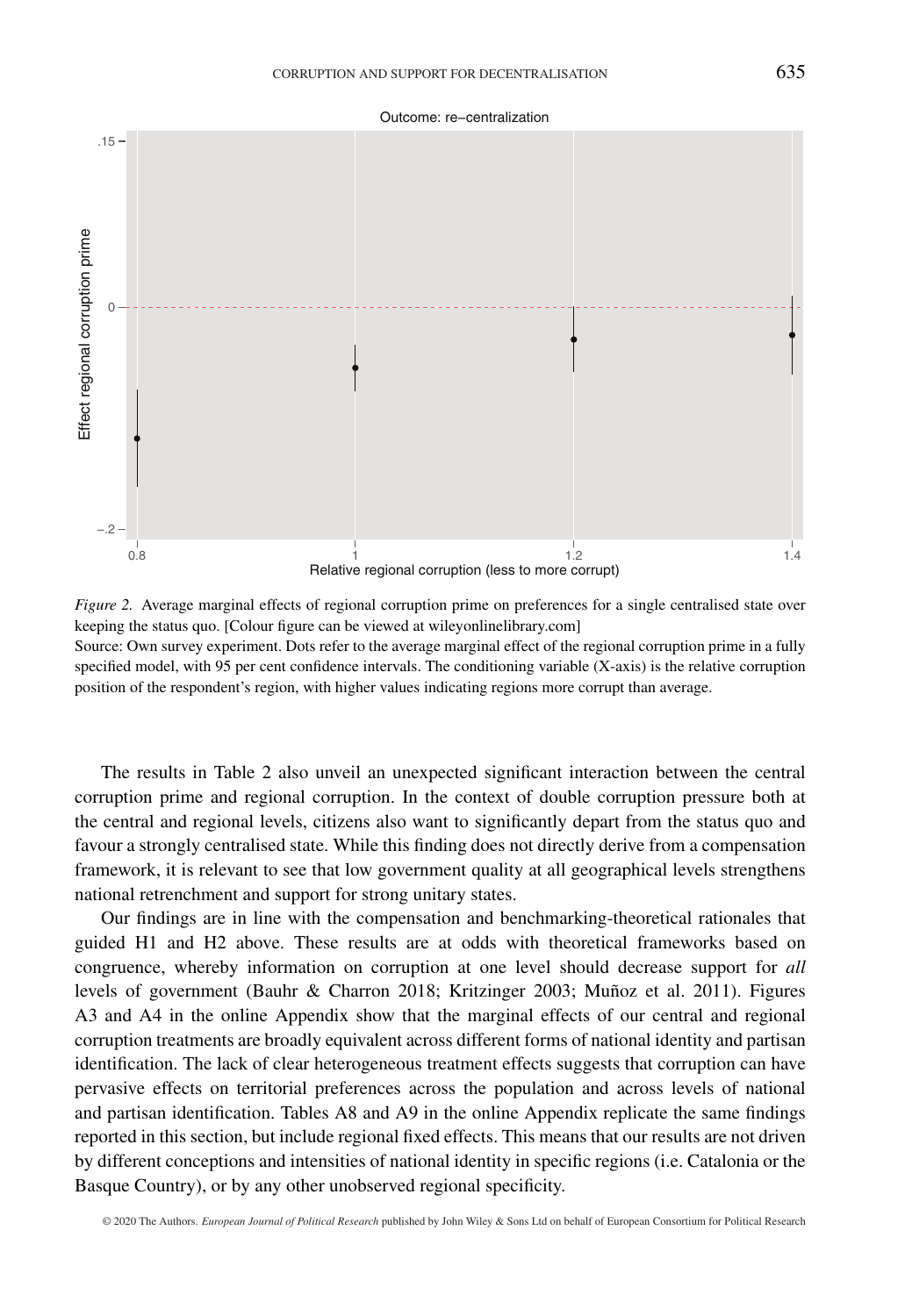Outcome: re−centralization





The results in Table 2 also unveil an unexpected significant interaction between the central corruption prime and regional corruption. In the context of double corruption pressure both at the central and regional levels, citizens also want to significantly depart from the status quo and favour a strongly centralised state. While this finding does not directly derive from a compensation framework, it is relevant to see that low government quality at all geographical levels strengthens national retrenchment and support for strong unitary states.

Our findings are in line with the compensation and benchmarking-theoretical rationales that guided H1 and H2 above. These results are at odds with theoretical frameworks based on congruence, whereby information on corruption at one level should decrease support for *all* levels of government (Bauhr & Charron 2018; Kritzinger 2003; Muñoz et al. 2011). Figures A3 and A4 in the online Appendix show that the marginal effects of our central and regional corruption treatments are broadly equivalent across different forms of national identity and partisan identification. The lack of clear heterogeneous treatment effects suggests that corruption can have pervasive effects on territorial preferences across the population and across levels of national and partisan identification. Tables A8 and A9 in the online Appendix replicate the same findings reported in this section, but include regional fixed effects. This means that our results are not driven by different conceptions and intensities of national identity in specific regions (i.e. Catalonia or the Basque Country), or by any other unobserved regional specificity.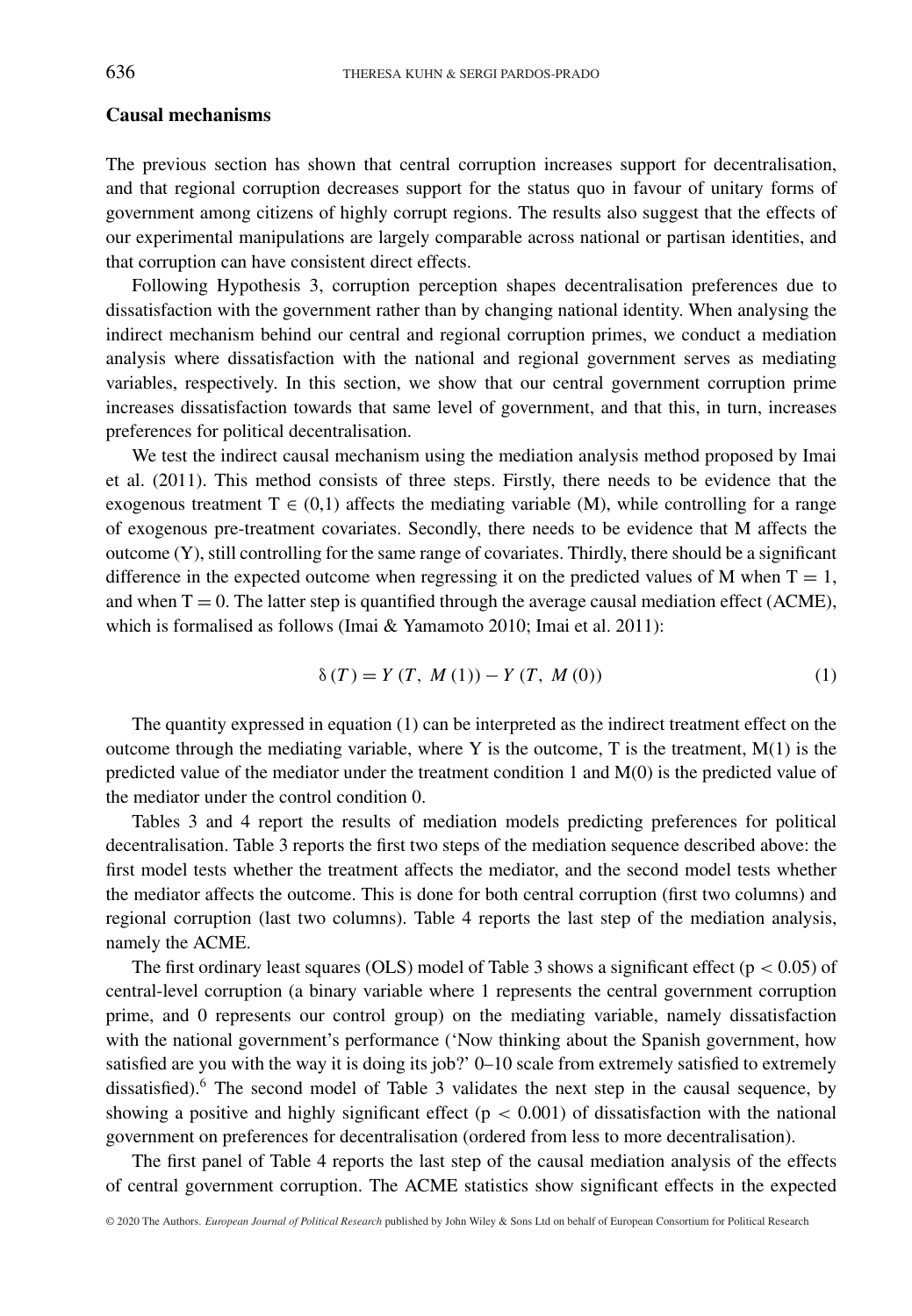## **Causal mechanisms**

The previous section has shown that central corruption increases support for decentralisation, and that regional corruption decreases support for the status quo in favour of unitary forms of government among citizens of highly corrupt regions. The results also suggest that the effects of our experimental manipulations are largely comparable across national or partisan identities, and that corruption can have consistent direct effects.

Following Hypothesis 3, corruption perception shapes decentralisation preferences due to dissatisfaction with the government rather than by changing national identity. When analysing the indirect mechanism behind our central and regional corruption primes, we conduct a mediation analysis where dissatisfaction with the national and regional government serves as mediating variables, respectively. In this section, we show that our central government corruption prime increases dissatisfaction towards that same level of government, and that this, in turn, increases preferences for political decentralisation.

We test the indirect causal mechanism using the mediation analysis method proposed by Imai et al. (2011). This method consists of three steps. Firstly, there needs to be evidence that the exogenous treatment  $T \in (0,1)$  affects the mediating variable (M), while controlling for a range of exogenous pre-treatment covariates. Secondly, there needs to be evidence that M affects the outcome (Y), still controlling for the same range of covariates. Thirdly, there should be a significant difference in the expected outcome when regressing it on the predicted values of M when  $T = 1$ , and when  $T = 0$ . The latter step is quantified through the average causal mediation effect (ACME), which is formalised as follows (Imai & Yamamoto 2010; Imai et al. 2011):

$$
\delta(T) = Y(T, M(1)) - Y(T, M(0))
$$
\n(1)

The quantity expressed in equation (1) can be interpreted as the indirect treatment effect on the outcome through the mediating variable, where Y is the outcome, T is the treatment,  $M(1)$  is the predicted value of the mediator under the treatment condition 1 and M(0) is the predicted value of the mediator under the control condition 0.

Tables 3 and 4 report the results of mediation models predicting preferences for political decentralisation. Table 3 reports the first two steps of the mediation sequence described above: the first model tests whether the treatment affects the mediator, and the second model tests whether the mediator affects the outcome. This is done for both central corruption (first two columns) and regional corruption (last two columns). Table 4 reports the last step of the mediation analysis, namely the ACME.

The first ordinary least squares (OLS) model of Table 3 shows a significant effect (p *<* 0.05) of central-level corruption (a binary variable where 1 represents the central government corruption prime, and 0 represents our control group) on the mediating variable, namely dissatisfaction with the national government's performance ('Now thinking about the Spanish government, how satisfied are you with the way it is doing its job?' 0–10 scale from extremely satisfied to extremely dissatisfied).<sup>6</sup> The second model of Table 3 validates the next step in the causal sequence, by showing a positive and highly significant effect ( $p < 0.001$ ) of dissatisfaction with the national government on preferences for decentralisation (ordered from less to more decentralisation).

The first panel of Table 4 reports the last step of the causal mediation analysis of the effects of central government corruption. The ACME statistics show significant effects in the expected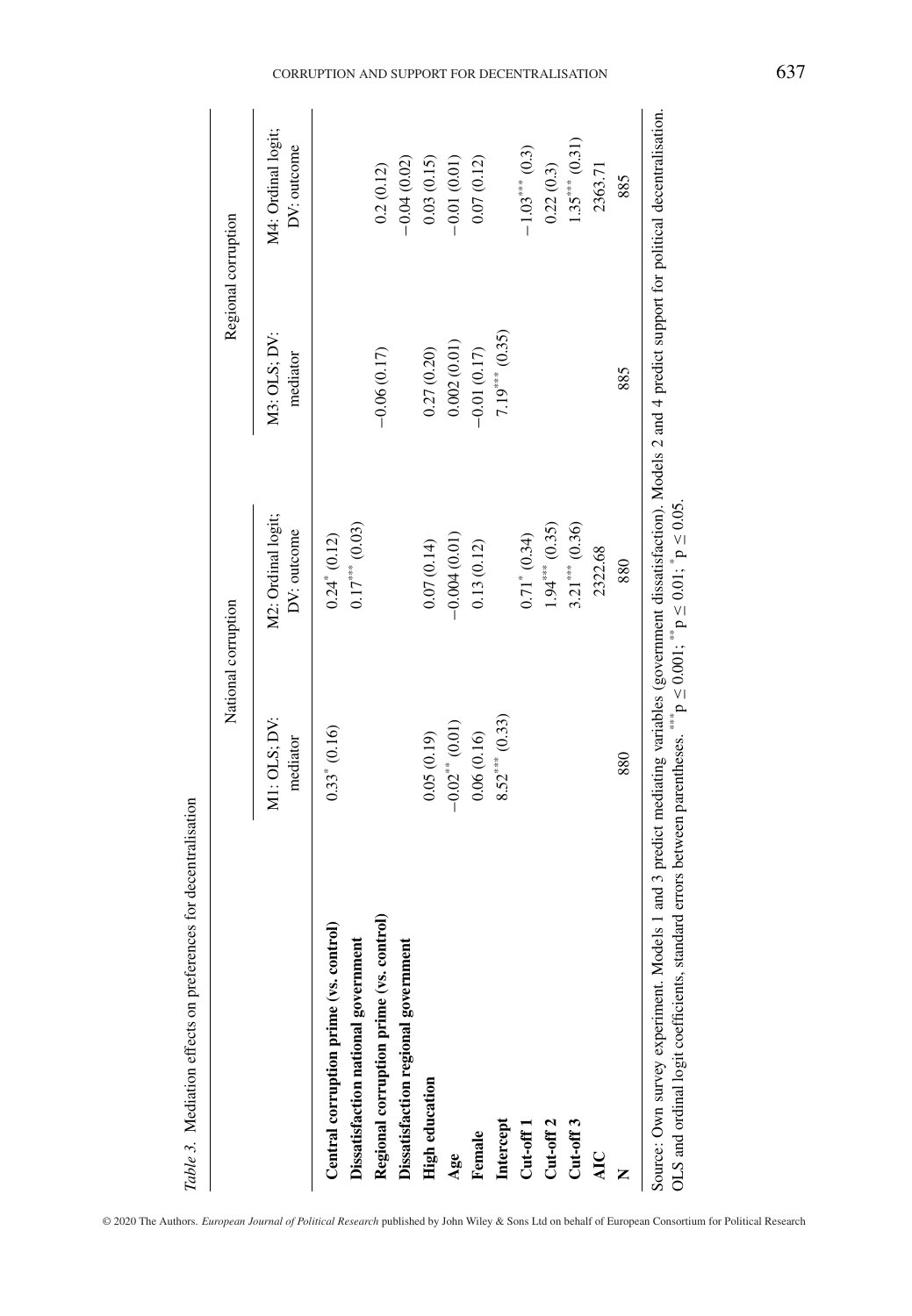|                                         |                          | National corruption               |                          | Regional corruption               |
|-----------------------------------------|--------------------------|-----------------------------------|--------------------------|-----------------------------------|
|                                         | M1: OLS; DV:<br>mediator | M2: Ordinal logit;<br>DV: outcome | M3: OLS; DV:<br>mediator | M4: Ordinal logit;<br>DV: outcome |
| Central corruption prime (vs. control)  | $0.33$ $(0.16)$          | $0.24$ $(0.12)$                   |                          |                                   |
| Dissatisfaction national government     |                          | $0.17***$ $(0.03)$                |                          |                                   |
| Regional corruption prime (vs. control) |                          |                                   | $-0.06(0.17)$            | 0.2(0.12)                         |
| Dissatisfaction regional government     |                          |                                   |                          | $-0.04(0.02)$                     |
| <b>High education</b>                   | $(61.0)$ 50.0            | 0.07(0.14)                        | 0.27(0.20)               | 0.03(0.15)                        |
| Age                                     | $-0.02**$ (0.01)         | $-0.004(0.01)$                    | 0.002(0.01)              | $-0.01(0.01)$                     |
| Female                                  | 0.06(0.16)               | 0.13(0.12)                        | $-0.01(0.17)$            | 0.07(0.12)                        |
| Intercept                               | $8.52***$ (0.33)         |                                   | $7.19***$ (0.35)         |                                   |
| $Cut-off1$                              |                          | $0.71^* (0.34)$                   |                          | $-1.03$ (0.3)                     |
| Cut-off <sub>2</sub>                    |                          | $1.94***$ (0.35)                  |                          | 0.22(0.3)                         |
| $Cut-off3$                              |                          | $3.21***$ (0.36)                  |                          | $1.35***$ (0.31)                  |
| AIC                                     |                          | 2322.68                           |                          | 2363.71                           |
|                                         | 880                      | 880                               | 885                      | 885                               |

OLS and ordinal logit coefficients, standard errors between parentheses.  ${}^{***}_{ }$  p  $\leq$  0.001;  ${}^{**}_{ }$  p  $\leq$  0.01;  ${}^{*}_{ }$  p  $\leq$  0.05. OLS and ordinal logit coefficients, standard errors between parentheses.  $^{***}$ p ≤ 0.001;  $^{**}$ p ≤ 0.01;  $^{*}$ p ≤ 0.05.

#### CORRUPTION AND SUPPORT FOR DECENTRALISATION 637

© 2020 The Authors. *European Journal of Political Research* published by John Wiley & Sons Ltd on behalf of European Consortium for Political Research

*Table 3.* Mediation effects on preferences for decentralisation

Table 3. Mediation effects on preferences for decentralisation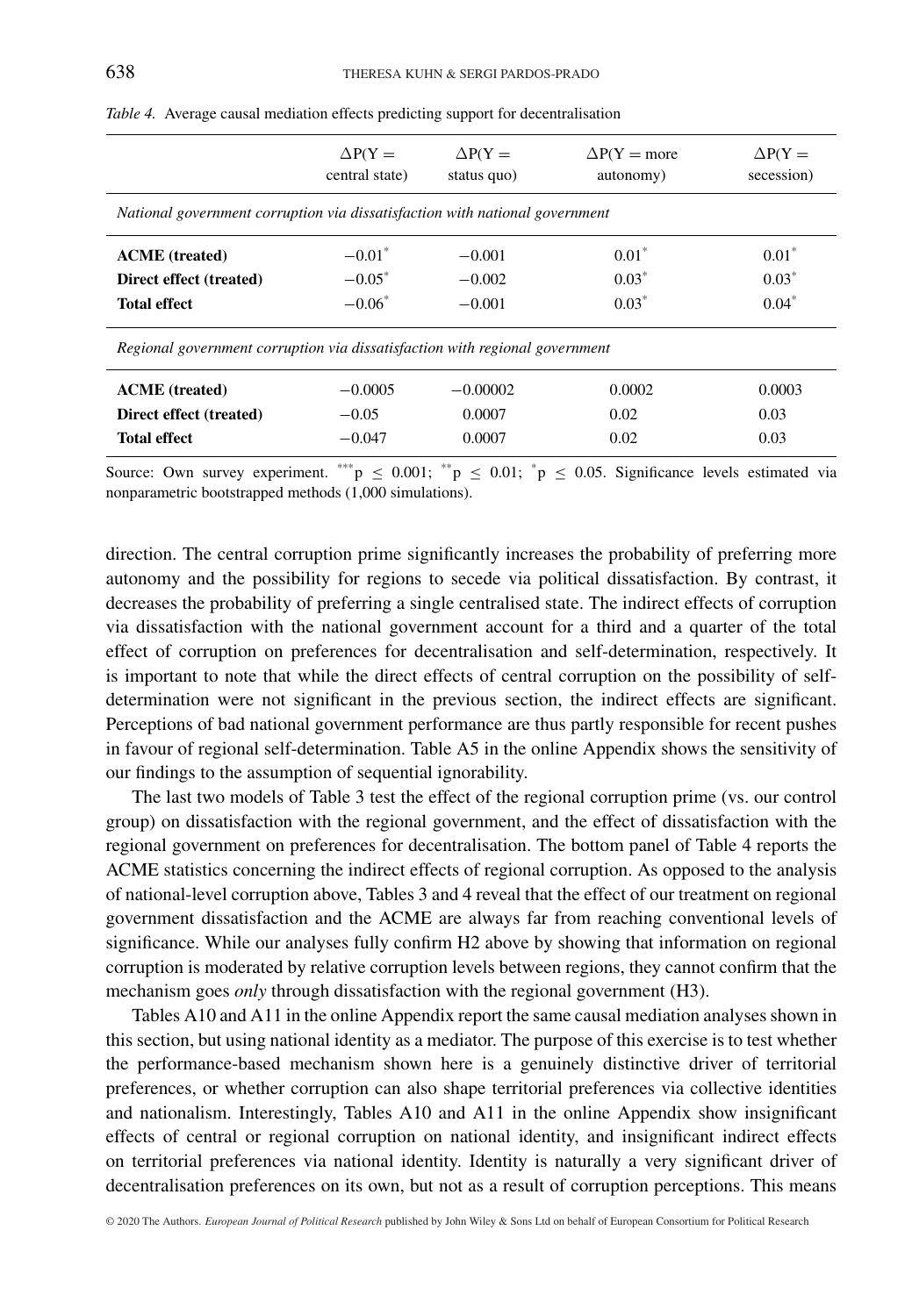|                                                                             | $\Delta P(Y =$<br>central state) | $\Delta P(Y =$<br>status quo) | $\Delta P(Y = more)$<br>autonomy) | $\Delta P(Y =$<br>secession) |  |  |  |  |  |
|-----------------------------------------------------------------------------|----------------------------------|-------------------------------|-----------------------------------|------------------------------|--|--|--|--|--|
| National government corruption via dissatisfaction with national government |                                  |                               |                                   |                              |  |  |  |  |  |
| <b>ACME</b> (treated)                                                       | $-0.01^*$                        | $-0.001$                      | $0.01*$                           | $0.01*$                      |  |  |  |  |  |
| Direct effect (treated)                                                     | $-0.05^*$                        | $-0.002$                      | $0.03*$                           | $0.03*$                      |  |  |  |  |  |
| <b>Total effect</b>                                                         | $-0.06*$                         | $-0.001$                      | $0.03*$                           | $0.04*$                      |  |  |  |  |  |
| Regional government corruption via dissatisfaction with regional government |                                  |                               |                                   |                              |  |  |  |  |  |
| <b>ACME</b> (treated)                                                       | $-0.0005$                        | $-0.00002$                    | 0.0002                            | 0.0003                       |  |  |  |  |  |
| Direct effect (treated)                                                     | $-0.05$                          | 0.0007                        | 0.02                              | 0.03                         |  |  |  |  |  |
| <b>Total effect</b>                                                         | $-0.047$                         | 0.0007                        | 0.02                              | 0.03                         |  |  |  |  |  |

*Table 4.* Average causal mediation effects predicting support for decentralisation

Source: Own survey experiment. \*\*\*  $p \le 0.001$ ; \*\*  $p \le 0.01$ ; \*  $p \le 0.05$ . Significance levels estimated via nonparametric bootstrapped methods (1,000 simulations).

direction. The central corruption prime significantly increases the probability of preferring more autonomy and the possibility for regions to secede via political dissatisfaction. By contrast, it decreases the probability of preferring a single centralised state. The indirect effects of corruption via dissatisfaction with the national government account for a third and a quarter of the total effect of corruption on preferences for decentralisation and self-determination, respectively. It is important to note that while the direct effects of central corruption on the possibility of selfdetermination were not significant in the previous section, the indirect effects are significant. Perceptions of bad national government performance are thus partly responsible for recent pushes in favour of regional self-determination. Table A5 in the online Appendix shows the sensitivity of our findings to the assumption of sequential ignorability.

The last two models of Table 3 test the effect of the regional corruption prime (vs. our control group) on dissatisfaction with the regional government, and the effect of dissatisfaction with the regional government on preferences for decentralisation. The bottom panel of Table 4 reports the ACME statistics concerning the indirect effects of regional corruption. As opposed to the analysis of national-level corruption above, Tables 3 and 4 reveal that the effect of our treatment on regional government dissatisfaction and the ACME are always far from reaching conventional levels of significance. While our analyses fully confirm H2 above by showing that information on regional corruption is moderated by relative corruption levels between regions, they cannot confirm that the mechanism goes *only* through dissatisfaction with the regional government (H3).

Tables A10 and A11 in the online Appendix report the same causal mediation analyses shown in this section, but using national identity as a mediator. The purpose of this exercise is to test whether the performance-based mechanism shown here is a genuinely distinctive driver of territorial preferences, or whether corruption can also shape territorial preferences via collective identities and nationalism. Interestingly, Tables A10 and A11 in the online Appendix show insignificant effects of central or regional corruption on national identity, and insignificant indirect effects on territorial preferences via national identity. Identity is naturally a very significant driver of decentralisation preferences on its own, but not as a result of corruption perceptions. This means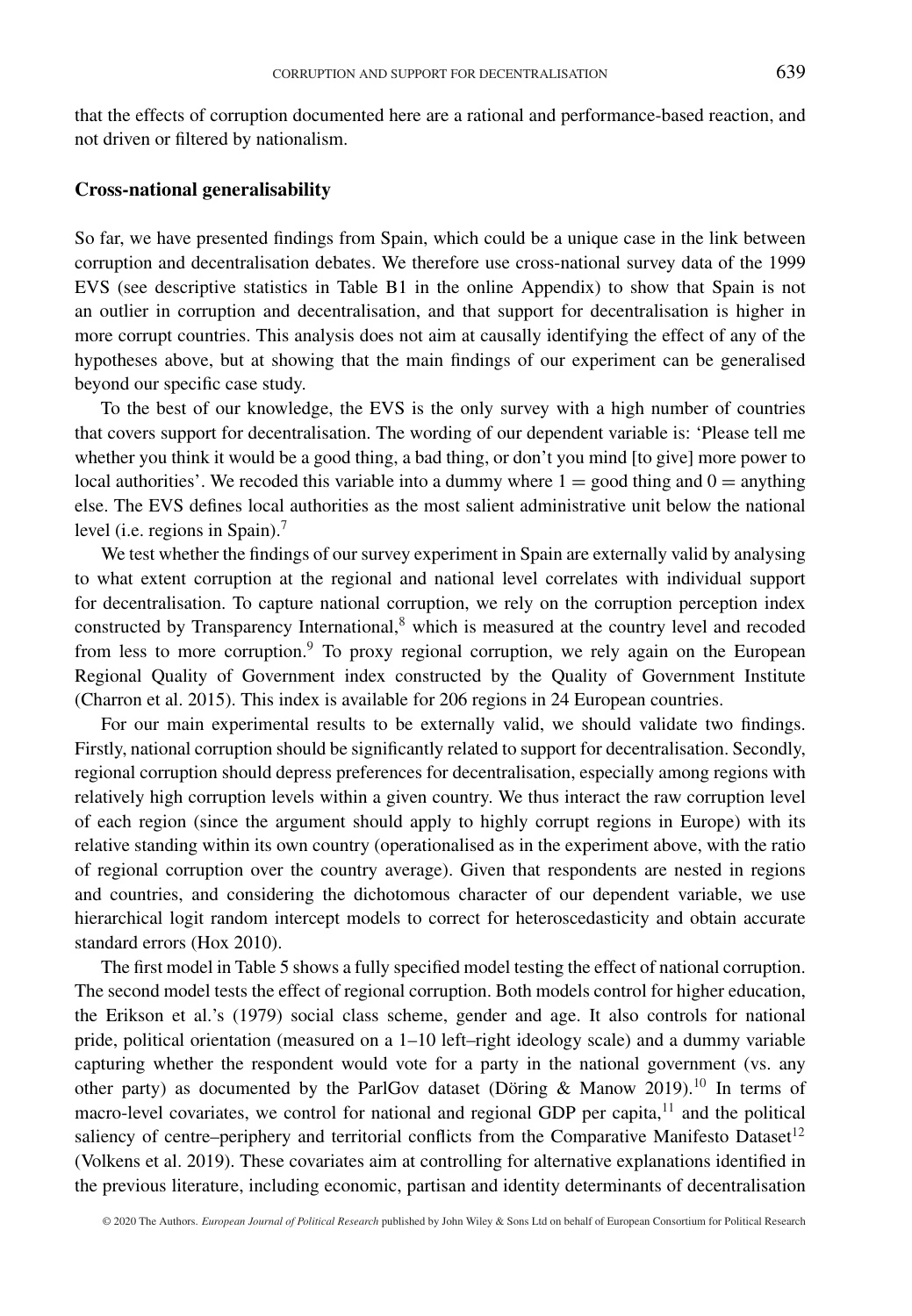that the effects of corruption documented here are a rational and performance-based reaction, and not driven or filtered by nationalism.

#### **Cross-national generalisability**

So far, we have presented findings from Spain, which could be a unique case in the link between corruption and decentralisation debates. We therefore use cross-national survey data of the 1999 EVS (see descriptive statistics in Table B1 in the online Appendix) to show that Spain is not an outlier in corruption and decentralisation, and that support for decentralisation is higher in more corrupt countries. This analysis does not aim at causally identifying the effect of any of the hypotheses above, but at showing that the main findings of our experiment can be generalised beyond our specific case study.

To the best of our knowledge, the EVS is the only survey with a high number of countries that covers support for decentralisation. The wording of our dependent variable is: 'Please tell me whether you think it would be a good thing, a bad thing, or don't you mind [to give] more power to local authorities'. We recoded this variable into a dummy where  $1 =$  good thing and  $0 =$  anything else. The EVS defines local authorities as the most salient administrative unit below the national level (i.e. regions in Spain).<sup>7</sup>

We test whether the findings of our survey experiment in Spain are externally valid by analysing to what extent corruption at the regional and national level correlates with individual support for decentralisation. To capture national corruption, we rely on the corruption perception index constructed by Transparency International, $8$  which is measured at the country level and recoded from less to more corruption.<sup>9</sup> To proxy regional corruption, we rely again on the European Regional Quality of Government index constructed by the Quality of Government Institute (Charron et al. 2015). This index is available for 206 regions in 24 European countries.

For our main experimental results to be externally valid, we should validate two findings. Firstly, national corruption should be significantly related to support for decentralisation. Secondly, regional corruption should depress preferences for decentralisation, especially among regions with relatively high corruption levels within a given country. We thus interact the raw corruption level of each region (since the argument should apply to highly corrupt regions in Europe) with its relative standing within its own country (operationalised as in the experiment above, with the ratio of regional corruption over the country average). Given that respondents are nested in regions and countries, and considering the dichotomous character of our dependent variable, we use hierarchical logit random intercept models to correct for heteroscedasticity and obtain accurate standard errors (Hox 2010).

The first model in Table 5 shows a fully specified model testing the effect of national corruption. The second model tests the effect of regional corruption. Both models control for higher education, the Erikson et al.'s (1979) social class scheme, gender and age. It also controls for national pride, political orientation (measured on a 1–10 left–right ideology scale) and a dummy variable capturing whether the respondent would vote for a party in the national government (vs. any other party) as documented by the ParlGov dataset (Döring & Manow 2019).<sup>10</sup> In terms of macro-level covariates, we control for national and regional GDP per capita,<sup>11</sup> and the political saliency of centre–periphery and territorial conflicts from the Comparative Manifesto Dataset<sup>12</sup> (Volkens et al. 2019). These covariates aim at controlling for alternative explanations identified in the previous literature, including economic, partisan and identity determinants of decentralisation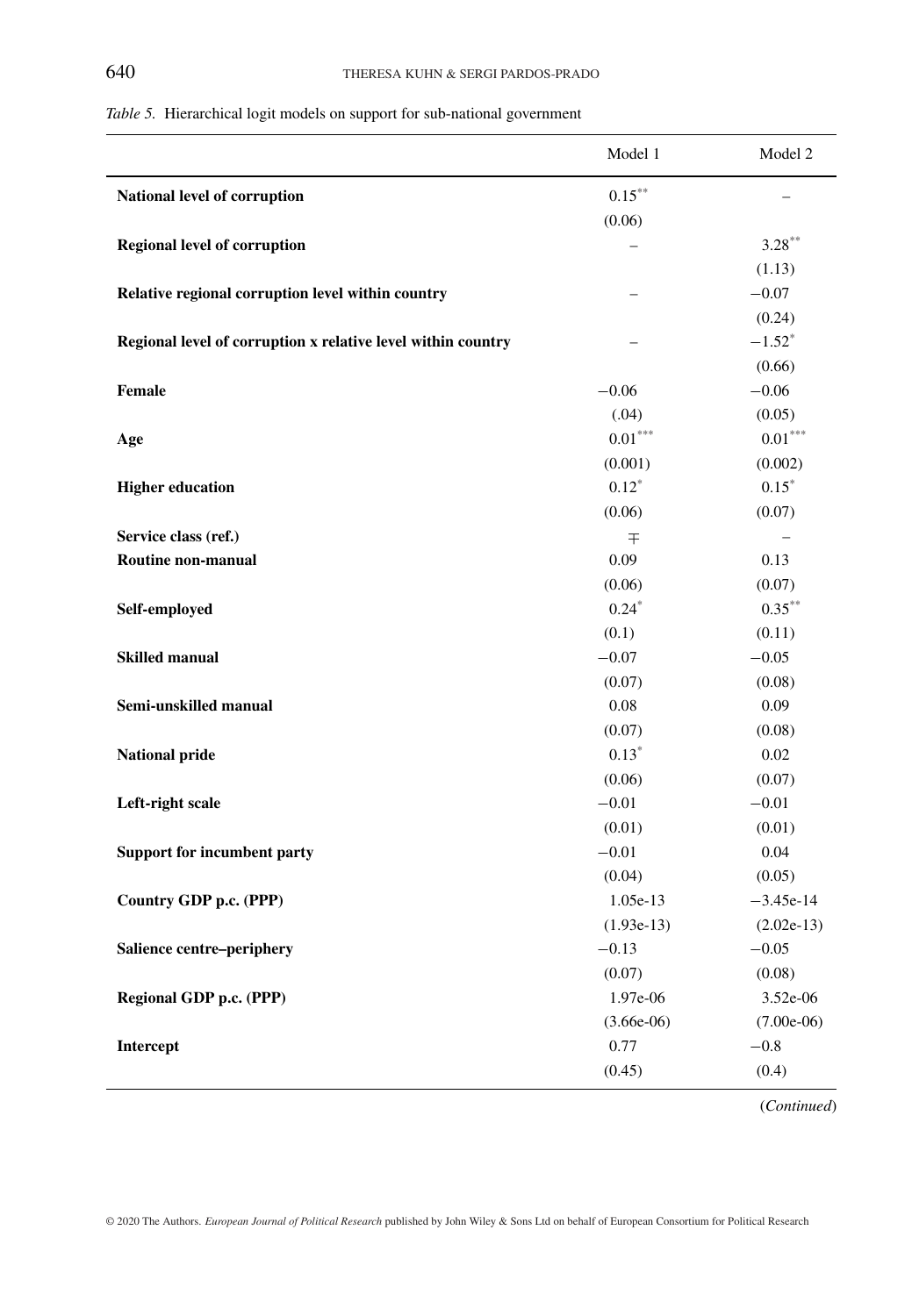| Table 5. Hierarchical logit models on support for sub-national government |  |  |  |  |
|---------------------------------------------------------------------------|--|--|--|--|
|                                                                           |  |  |  |  |

|                                                              | Model 1      | Model 2                  |
|--------------------------------------------------------------|--------------|--------------------------|
| National level of corruption                                 | $0.15***$    |                          |
|                                                              | (0.06)       |                          |
| <b>Regional level of corruption</b>                          |              | $3.28***$                |
|                                                              |              | (1.13)                   |
| Relative regional corruption level within country            | -            | $-0.07$                  |
|                                                              |              | (0.24)                   |
| Regional level of corruption x relative level within country |              | $-1.52^*$                |
|                                                              |              | (0.66)                   |
| <b>Female</b>                                                | $-0.06$      | $-0.06$                  |
|                                                              | (.04)        | (0.05)                   |
| Age                                                          | $0.01***$    | $0.01^{\ast\ast\ast}$    |
|                                                              | (0.001)      | (0.002)                  |
| <b>Higher education</b>                                      | $0.12*$      | $0.15*$                  |
|                                                              | (0.06)       | (0.07)                   |
| Service class (ref.)                                         | 干            | $\overline{\phantom{m}}$ |
| Routine non-manual                                           | 0.09         | 0.13                     |
|                                                              | (0.06)       | (0.07)                   |
| Self-employed                                                | $0.24*$      | $0.35***$                |
|                                                              | (0.1)        | (0.11)                   |
| <b>Skilled manual</b>                                        | $-0.07$      | $-0.05$                  |
|                                                              | (0.07)       | (0.08)                   |
| Semi-unskilled manual                                        | 0.08         | 0.09                     |
|                                                              | (0.07)       | (0.08)                   |
| <b>National pride</b>                                        | $0.13*$      | 0.02                     |
|                                                              | (0.06)       | (0.07)                   |
| Left-right scale                                             | $-0.01$      | $-0.01$                  |
|                                                              | (0.01)       | (0.01)                   |
| Support for incumbent party                                  | $-0.01$      | 0.04                     |
|                                                              | (0.04)       | (0.05)                   |
| Country GDP p.c. (PPP)                                       | 1.05e-13     | $-3.45e-14$              |
|                                                              | $(1.93e-13)$ | $(2.02e-13)$             |
| Salience centre-periphery                                    | $-0.13$      | $-0.05$                  |
|                                                              | (0.07)       | (0.08)                   |
| Regional GDP p.c. (PPP)                                      | 1.97e-06     | 3.52e-06                 |
|                                                              | $(3.66e-06)$ | $(7.00e-06)$             |
| <b>Intercept</b>                                             | 0.77         | $-0.8$                   |
|                                                              | (0.45)       | (0.4)                    |

(*Continued*)

© 2020 The Authors. *European Journal of Political Research* published by John Wiley & Sons Ltd on behalf of European Consortium for Political Research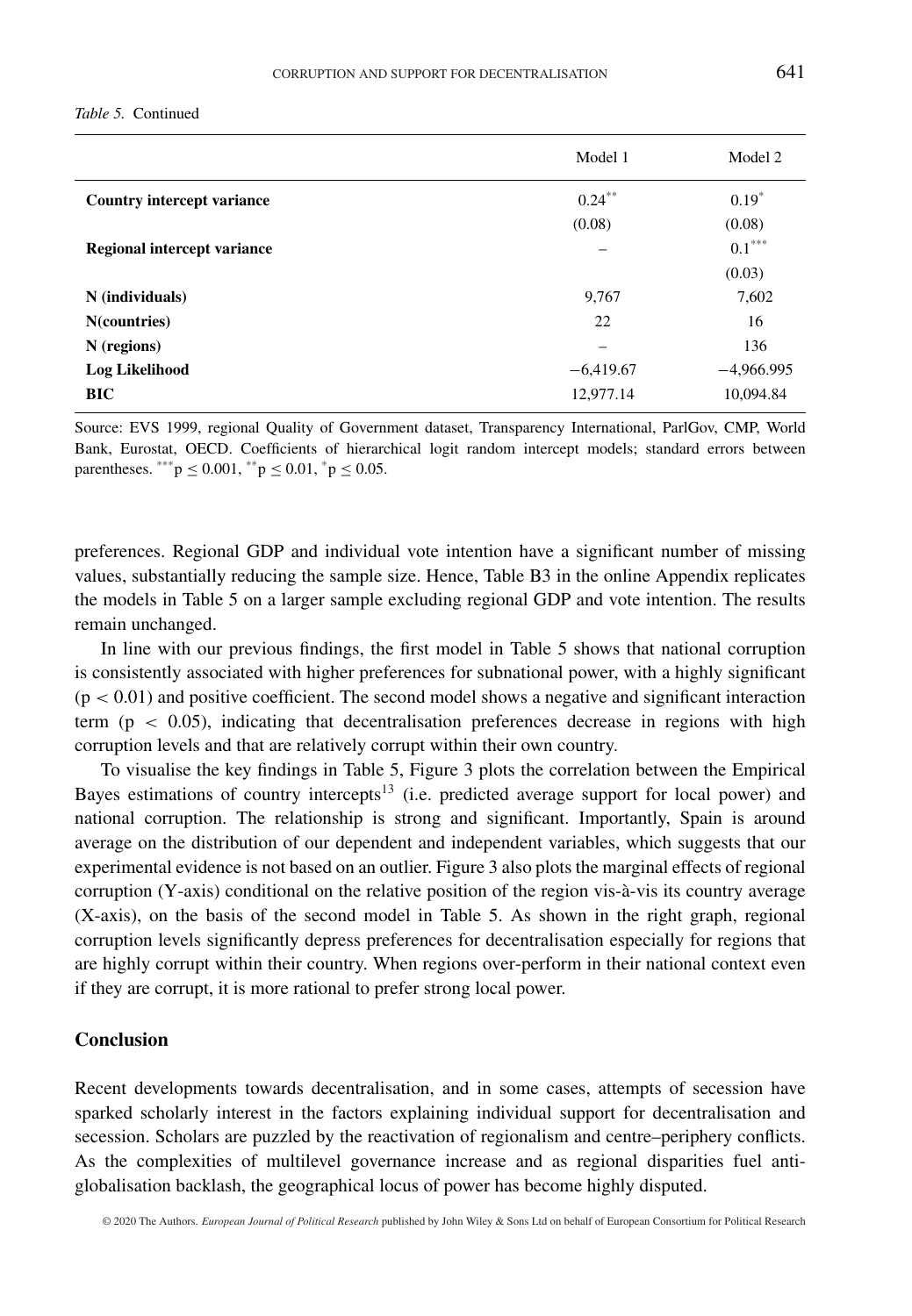|                             | Model 1     | Model 2      |
|-----------------------------|-------------|--------------|
| Country intercept variance  | $0.24***$   | $0.19*$      |
|                             | (0.08)      | (0.08)       |
| Regional intercept variance |             | $0.1***$     |
|                             |             | (0.03)       |
| N (individuals)             | 9.767       | 7,602        |
| N(countries)                | 22          | 16           |
| $N$ (regions)               |             | 136          |
| <b>Log Likelihood</b>       | $-6,419.67$ | $-4.966.995$ |
| <b>BIC</b>                  | 12,977.14   | 10,094.84    |

Source: EVS 1999, regional Quality of Government dataset, Transparency International, ParlGov, CMP, World Bank, Eurostat, OECD. Coefficients of hierarchical logit random intercept models; standard errors between parentheses. \*\*\*  $p \le 0.001$ , \*\* $p \le 0.01$ , \* $p \le 0.05$ .

preferences. Regional GDP and individual vote intention have a significant number of missing values, substantially reducing the sample size. Hence, Table B3 in the online Appendix replicates the models in Table 5 on a larger sample excluding regional GDP and vote intention. The results remain unchanged.

In line with our previous findings, the first model in Table 5 shows that national corruption is consistently associated with higher preferences for subnational power, with a highly significant (p *<* 0.01) and positive coefficient. The second model shows a negative and significant interaction term (p *<* 0.05), indicating that decentralisation preferences decrease in regions with high corruption levels and that are relatively corrupt within their own country.

To visualise the key findings in Table 5, Figure 3 plots the correlation between the Empirical Bayes estimations of country intercepts<sup>13</sup> (i.e. predicted average support for local power) and national corruption. The relationship is strong and significant. Importantly, Spain is around average on the distribution of our dependent and independent variables, which suggests that our experimental evidence is not based on an outlier. Figure 3 also plots the marginal effects of regional corruption (Y-axis) conditional on the relative position of the region vis-à-vis its country average (X-axis), on the basis of the second model in Table 5. As shown in the right graph, regional corruption levels significantly depress preferences for decentralisation especially for regions that are highly corrupt within their country. When regions over-perform in their national context even if they are corrupt, it is more rational to prefer strong local power.

#### **Conclusion**

Recent developments towards decentralisation, and in some cases, attempts of secession have sparked scholarly interest in the factors explaining individual support for decentralisation and secession. Scholars are puzzled by the reactivation of regionalism and centre–periphery conflicts. As the complexities of multilevel governance increase and as regional disparities fuel antiglobalisation backlash, the geographical locus of power has become highly disputed.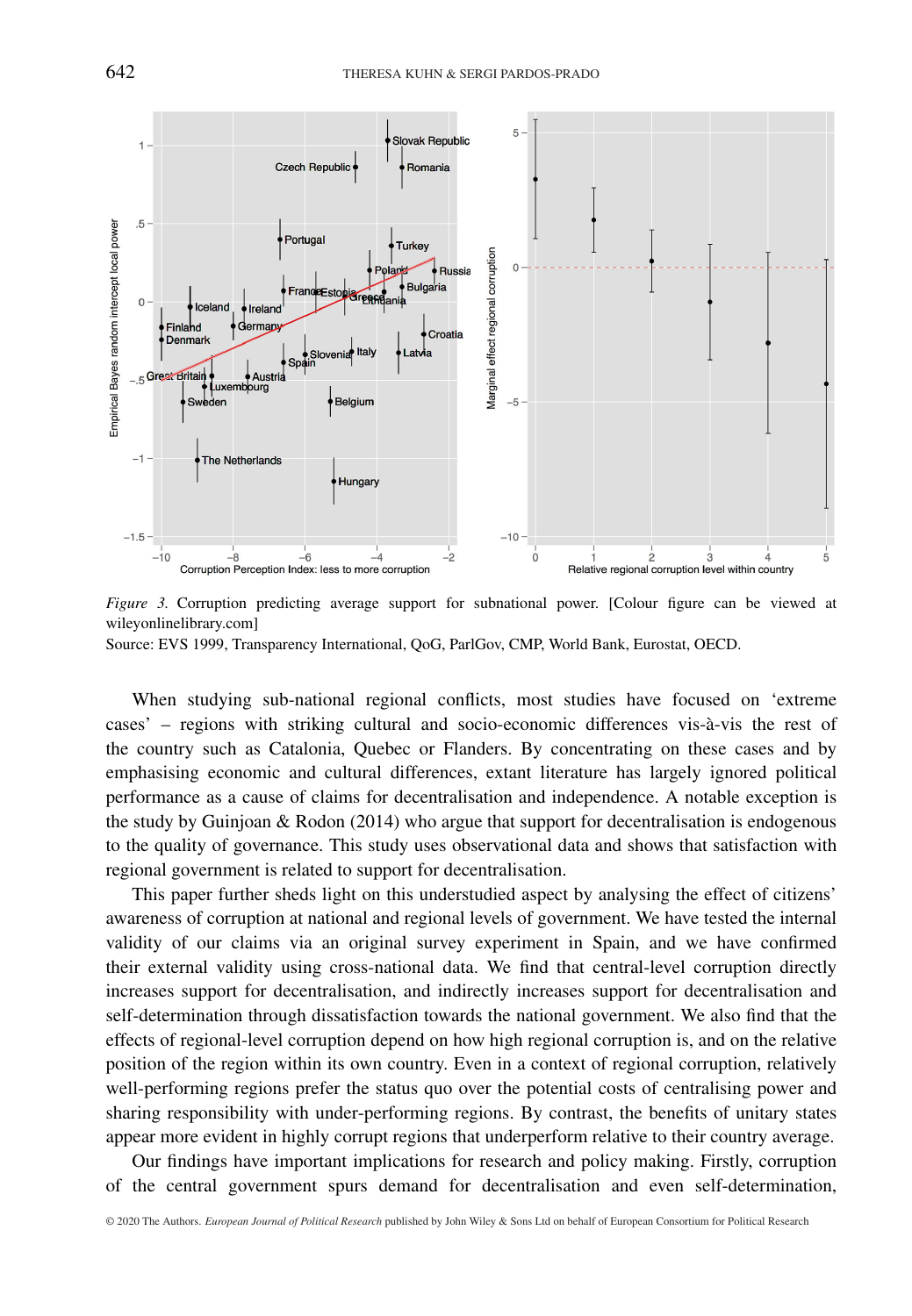

*Figure 3.* Corruption predicting average support for subnational power. [Colour figure can be viewed at wileyonlinelibrary.com] Source: EVS 1999, Transparency International, QoG, ParlGov, CMP, World Bank, Eurostat, OECD.

When studying sub-national regional conflicts, most studies have focused on 'extreme cases' – regions with striking cultural and socio-economic differences vis-à-vis the rest of the country such as Catalonia, Quebec or Flanders. By concentrating on these cases and by emphasising economic and cultural differences, extant literature has largely ignored political performance as a cause of claims for decentralisation and independence. A notable exception is the study by Guinjoan & Rodon (2014) who argue that support for decentralisation is endogenous to the quality of governance. This study uses observational data and shows that satisfaction with regional government is related to support for decentralisation.

This paper further sheds light on this understudied aspect by analysing the effect of citizens' awareness of corruption at national and regional levels of government. We have tested the internal validity of our claims via an original survey experiment in Spain, and we have confirmed their external validity using cross-national data. We find that central-level corruption directly increases support for decentralisation, and indirectly increases support for decentralisation and self-determination through dissatisfaction towards the national government. We also find that the effects of regional-level corruption depend on how high regional corruption is, and on the relative position of the region within its own country. Even in a context of regional corruption, relatively well-performing regions prefer the status quo over the potential costs of centralising power and sharing responsibility with under-performing regions. By contrast, the benefits of unitary states appear more evident in highly corrupt regions that underperform relative to their country average.

Our findings have important implications for research and policy making. Firstly, corruption of the central government spurs demand for decentralisation and even self-determination,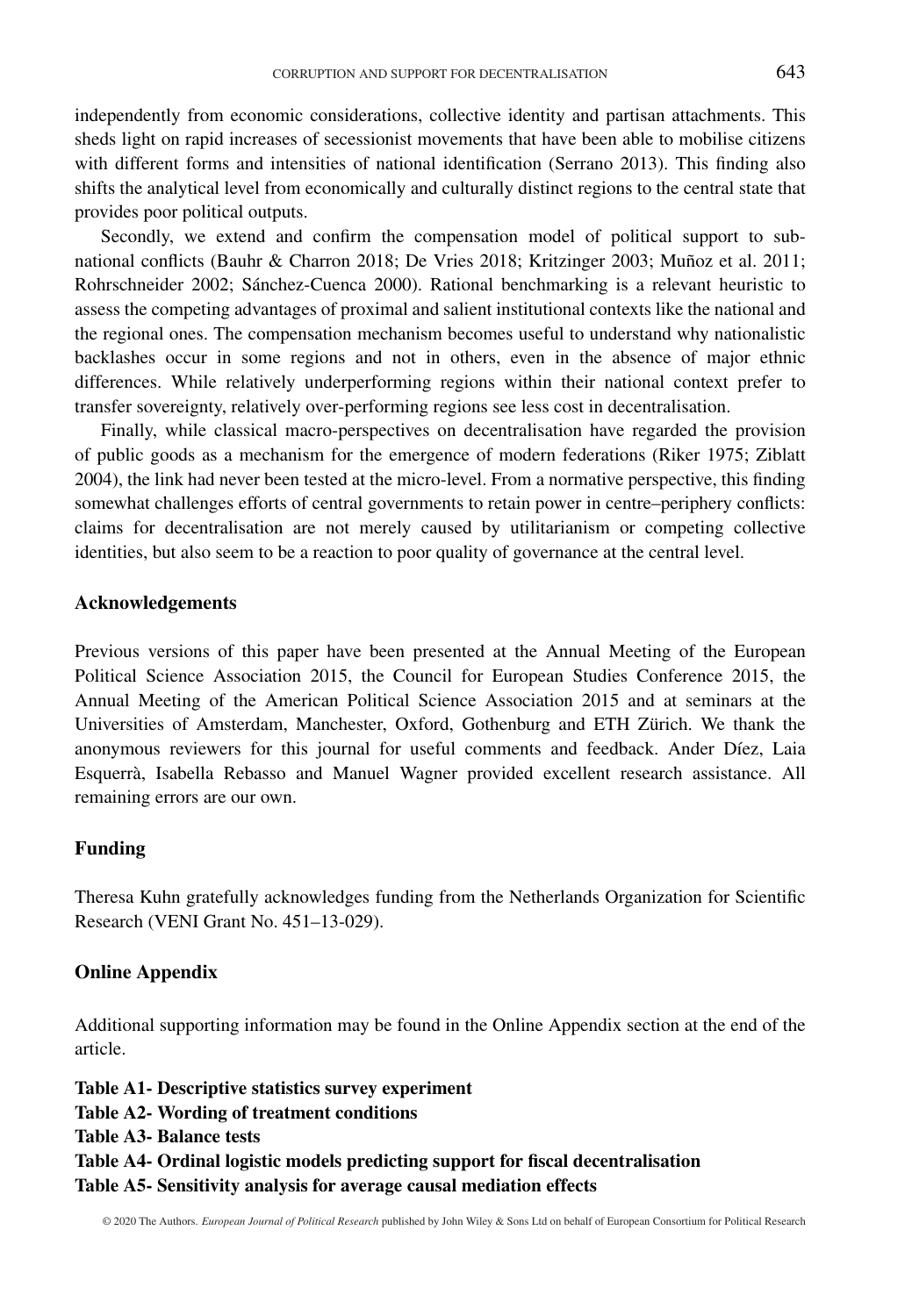independently from economic considerations, collective identity and partisan attachments. This sheds light on rapid increases of secessionist movements that have been able to mobilise citizens with different forms and intensities of national identification (Serrano 2013). This finding also shifts the analytical level from economically and culturally distinct regions to the central state that provides poor political outputs.

Secondly, we extend and confirm the compensation model of political support to subnational conflicts (Bauhr & Charron 2018; De Vries 2018; Kritzinger 2003; Muñoz et al. 2011; Rohrschneider 2002; Sánchez-Cuenca 2000). Rational benchmarking is a relevant heuristic to assess the competing advantages of proximal and salient institutional contexts like the national and the regional ones. The compensation mechanism becomes useful to understand why nationalistic backlashes occur in some regions and not in others, even in the absence of major ethnic differences. While relatively underperforming regions within their national context prefer to transfer sovereignty, relatively over-performing regions see less cost in decentralisation.

Finally, while classical macro-perspectives on decentralisation have regarded the provision of public goods as a mechanism for the emergence of modern federations (Riker 1975; Ziblatt 2004), the link had never been tested at the micro-level. From a normative perspective, this finding somewhat challenges efforts of central governments to retain power in centre–periphery conflicts: claims for decentralisation are not merely caused by utilitarianism or competing collective identities, but also seem to be a reaction to poor quality of governance at the central level.

#### **Acknowledgements**

Previous versions of this paper have been presented at the Annual Meeting of the European Political Science Association 2015, the Council for European Studies Conference 2015, the Annual Meeting of the American Political Science Association 2015 and at seminars at the Universities of Amsterdam, Manchester, Oxford, Gothenburg and ETH Zürich. We thank the anonymous reviewers for this journal for useful comments and feedback. Ander Díez, Laia Esquerrà, Isabella Rebasso and Manuel Wagner provided excellent research assistance. All remaining errors are our own.

#### **Funding**

Theresa Kuhn gratefully acknowledges funding from the Netherlands Organization for Scientific Research (VENI Grant No. 451–13-029).

#### **Online Appendix**

Additional supporting information may be found in the Online Appendix section at the end of the article.

**Table A1- Descriptive statistics survey experiment Table A2- Wording of treatment conditions Table A3- Balance tests Table A4- Ordinal logistic models predicting support for fiscal decentralisation Table A5- Sensitivity analysis for average causal mediation effects**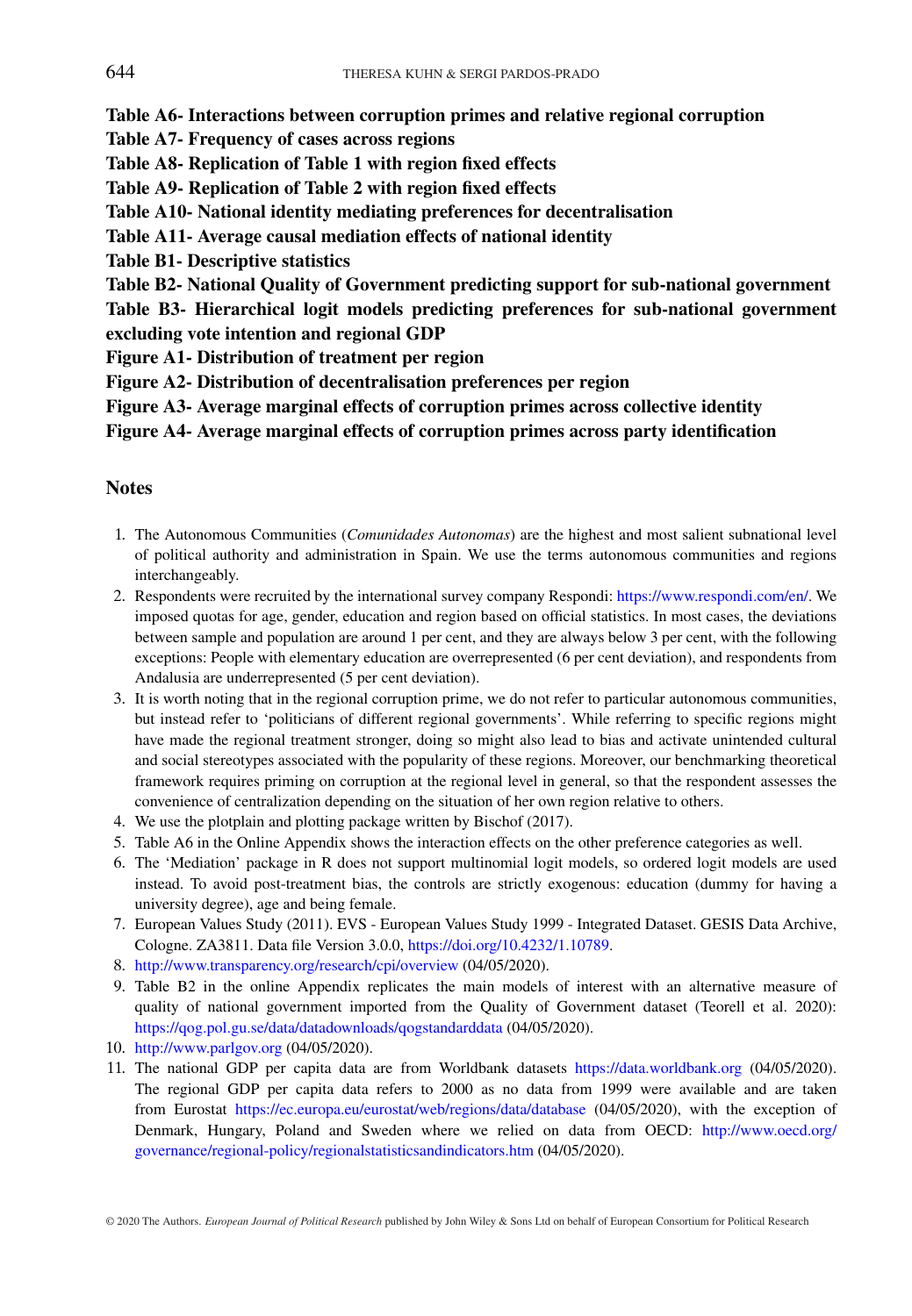**Table A6- Interactions between corruption primes and relative regional corruption**

- **Table A7- Frequency of cases across regions**
- **Table A8- Replication of Table 1 with region fixed effects**
- **Table A9- Replication of Table 2 with region fixed effects**
- **Table A10- National identity mediating preferences for decentralisation**
- **Table A11- Average causal mediation effects of national identity**
- **Table B1- Descriptive statistics**
- **Table B2- National Quality of Government predicting support for sub-national government**
- **Table B3- Hierarchical logit models predicting preferences for sub-national government excluding vote intention and regional GDP**
- **Figure A1- Distribution of treatment per region**
- **Figure A2- Distribution of decentralisation preferences per region**
- **Figure A3- Average marginal effects of corruption primes across collective identity**

**Figure A4- Average marginal effects of corruption primes across party identification**

#### **Notes**

- 1. The Autonomous Communities (*Comunidades Autonomas*) are the highest and most salient subnational level of political authority and administration in Spain. We use the terms autonomous communities and regions interchangeably.
- 2. Respondents were recruited by the international survey company Respondi: [https://www.respondi.com/en/.](https://www.respondi.com/en/) We imposed quotas for age, gender, education and region based on official statistics. In most cases, the deviations between sample and population are around 1 per cent, and they are always below 3 per cent, with the following exceptions: People with elementary education are overrepresented (6 per cent deviation), and respondents from Andalusia are underrepresented (5 per cent deviation).
- 3. It is worth noting that in the regional corruption prime, we do not refer to particular autonomous communities, but instead refer to 'politicians of different regional governments'. While referring to specific regions might have made the regional treatment stronger, doing so might also lead to bias and activate unintended cultural and social stereotypes associated with the popularity of these regions. Moreover, our benchmarking theoretical framework requires priming on corruption at the regional level in general, so that the respondent assesses the convenience of centralization depending on the situation of her own region relative to others.
- 4. We use the plotplain and plotting package written by Bischof (2017).
- 5. Table A6 in the Online Appendix shows the interaction effects on the other preference categories as well.
- 6. The 'Mediation' package in R does not support multinomial logit models, so ordered logit models are used instead. To avoid post-treatment bias, the controls are strictly exogenous: education (dummy for having a university degree), age and being female.
- 7. European Values Study (2011). EVS European Values Study 1999 Integrated Dataset. GESIS Data Archive, Cologne. ZA3811. Data file Version 3.0.0, [https://doi.org/10.4232/1.10789.](https://doi.org/10.4232/1.10789)
- 8. <http://www.transparency.org/research/cpi/overview> (04/05/2020).
- 9. Table B2 in the online Appendix replicates the main models of interest with an alternative measure of quality of national government imported from the Quality of Government dataset (Teorell et al. 2020): <https://qog.pol.gu.se/data/datadownloads/qogstandarddata> (04/05/2020).
- 10. <http://www.parlgov.org> (04/05/2020).
- 11. The national GDP per capita data are from Worldbank datasets <https://data.worldbank.org> (04/05/2020). The regional GDP per capita data refers to 2000 as no data from 1999 were available and are taken from Eurostat <https://ec.europa.eu/eurostat/web/regions/data/database> (04/05/2020), with the exception of Denmark, Hungary, Poland and Sweden where we relied on data from OECD: [http://www.oecd.org/](http://www.oecd.org/governance/regional-policy/regionalstatisticsandindicators.htm) [governance/regional-policy/regionalstatisticsandindicators.htm](http://www.oecd.org/governance/regional-policy/regionalstatisticsandindicators.htm) (04/05/2020).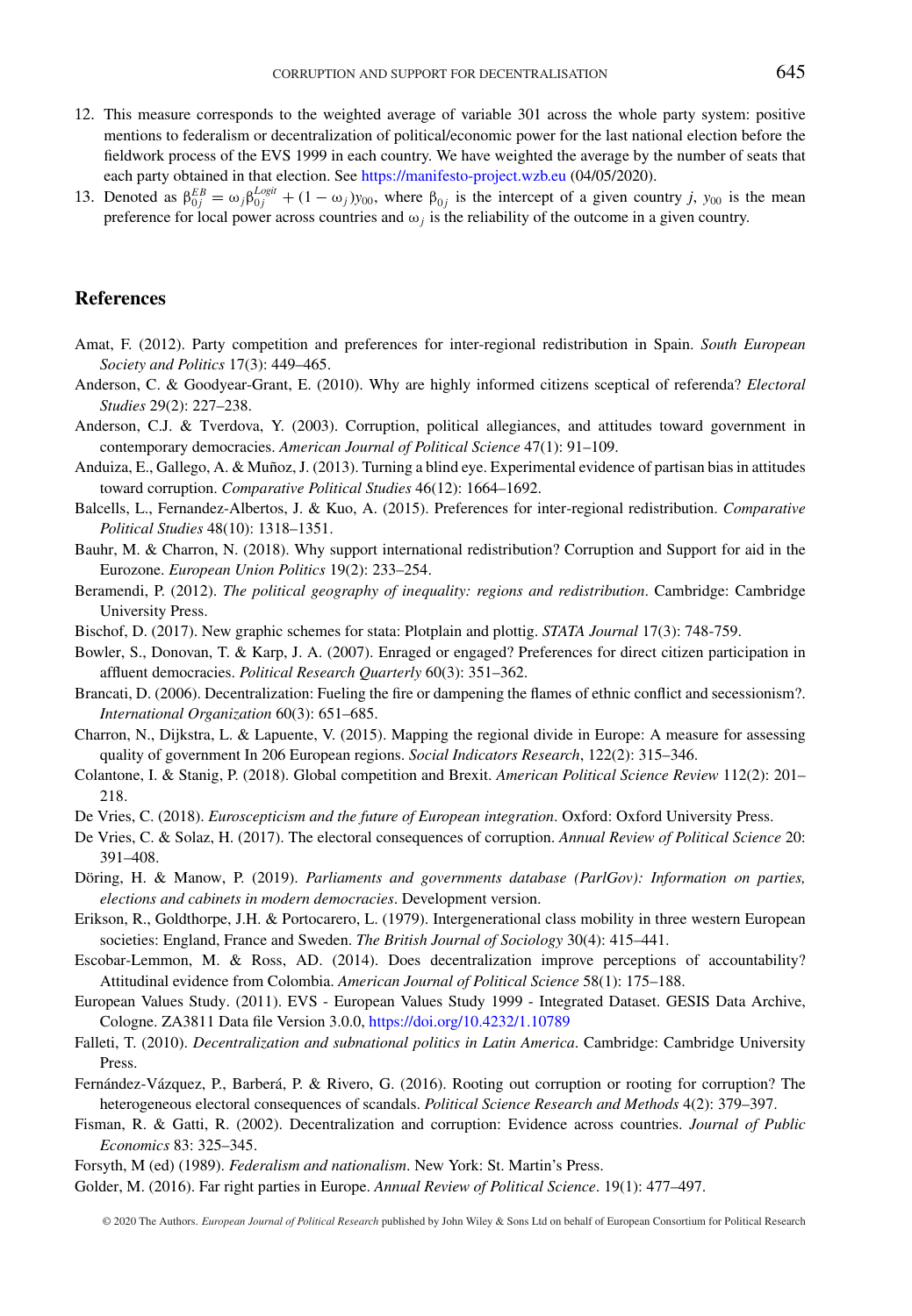- 12. This measure corresponds to the weighted average of variable 301 across the whole party system: positive mentions to federalism or decentralization of political/economic power for the last national election before the fieldwork process of the EVS 1999 in each country. We have weighted the average by the number of seats that each party obtained in that election. See <https://manifesto-project.wzb.eu> (04/05/2020).
- 13. Denoted as  $\beta_{0j}^{EB} = \omega_j \beta_{0j}^{Logit} + (1 \omega_j)y_{00}$ , where  $\beta_{0j}$  is the intercept of a given country *j*,  $y_{00}$  is the mean preference for local power across countries and  $\omega_i$  is the reliability of the outcome in a given country.

#### **References**

- Amat, F. (2012). Party competition and preferences for inter-regional redistribution in Spain. *South European Society and Politics* 17(3): 449–465.
- Anderson, C. & Goodyear-Grant, E. (2010). Why are highly informed citizens sceptical of referenda? *Electoral Studies* 29(2): 227–238.
- Anderson, C.J. & Tverdova, Y. (2003). Corruption, political allegiances, and attitudes toward government in contemporary democracies. *American Journal of Political Science* 47(1): 91–109.
- Anduiza, E., Gallego, A. & Muñoz, J. (2013). Turning a blind eye. Experimental evidence of partisan bias in attitudes toward corruption. *Comparative Political Studies* 46(12): 1664–1692.
- Balcells, L., Fernandez-Albertos, J. & Kuo, A. (2015). Preferences for inter-regional redistribution. *Comparative Political Studies* 48(10): 1318–1351.
- Bauhr, M. & Charron, N. (2018). Why support international redistribution? Corruption and Support for aid in the Eurozone. *European Union Politics* 19(2): 233–254.
- Beramendi, P. (2012). *The political geography of inequality: regions and redistribution*. Cambridge: Cambridge University Press.
- Bischof, D. (2017). New graphic schemes for stata: Plotplain and plottig. *STATA Journal* 17(3): 748-759.
- Bowler, S., Donovan, T. & Karp, J. A. (2007). Enraged or engaged? Preferences for direct citizen participation in affluent democracies. *Political Research Quarterly* 60(3): 351–362.
- Brancati, D. (2006). Decentralization: Fueling the fire or dampening the flames of ethnic conflict and secessionism?. *International Organization* 60(3): 651–685.
- Charron, N., Dijkstra, L. & Lapuente, V. (2015). Mapping the regional divide in Europe: A measure for assessing quality of government In 206 European regions. *Social Indicators Research*, 122(2): 315–346.
- Colantone, I. & Stanig, P. (2018). Global competition and Brexit. *American Political Science Review* 112(2): 201– 218.
- De Vries, C. (2018). *Euroscepticism and the future of European integration*. Oxford: Oxford University Press.
- De Vries, C. & Solaz, H. (2017). The electoral consequences of corruption. *Annual Review of Political Science* 20: 391–408.
- Döring, H. & Manow, P. (2019). *Parliaments and governments database (ParlGov): Information on parties, elections and cabinets in modern democracies*. Development version.
- Erikson, R., Goldthorpe, J.H. & Portocarero, L. (1979). Intergenerational class mobility in three western European societies: England, France and Sweden. *The British Journal of Sociology* 30(4): 415–441.
- Escobar-Lemmon, M. & Ross, AD. (2014). Does decentralization improve perceptions of accountability? Attitudinal evidence from Colombia. *American Journal of Political Science* 58(1): 175–188.
- European Values Study. (2011). EVS European Values Study 1999 Integrated Dataset. GESIS Data Archive, Cologne. ZA3811 Data file Version 3.0.0, <https://doi.org/10.4232/1.10789>
- Falleti, T. (2010). *Decentralization and subnational politics in Latin America*. Cambridge: Cambridge University Press.
- Fernández-Vázquez, P., Barberá, P. & Rivero, G. (2016). Rooting out corruption or rooting for corruption? The heterogeneous electoral consequences of scandals. *Political Science Research and Methods* 4(2): 379–397.
- Fisman, R. & Gatti, R. (2002). Decentralization and corruption: Evidence across countries. *Journal of Public Economics* 83: 325–345.
- Forsyth, M (ed) (1989). *Federalism and nationalism*. New York: St. Martin's Press.
- Golder, M. (2016). Far right parties in Europe. *Annual Review of Political Science*. 19(1): 477–497.

© 2020 The Authors. *European Journal of Political Research* published by John Wiley & Sons Ltd on behalf of European Consortium for Political Research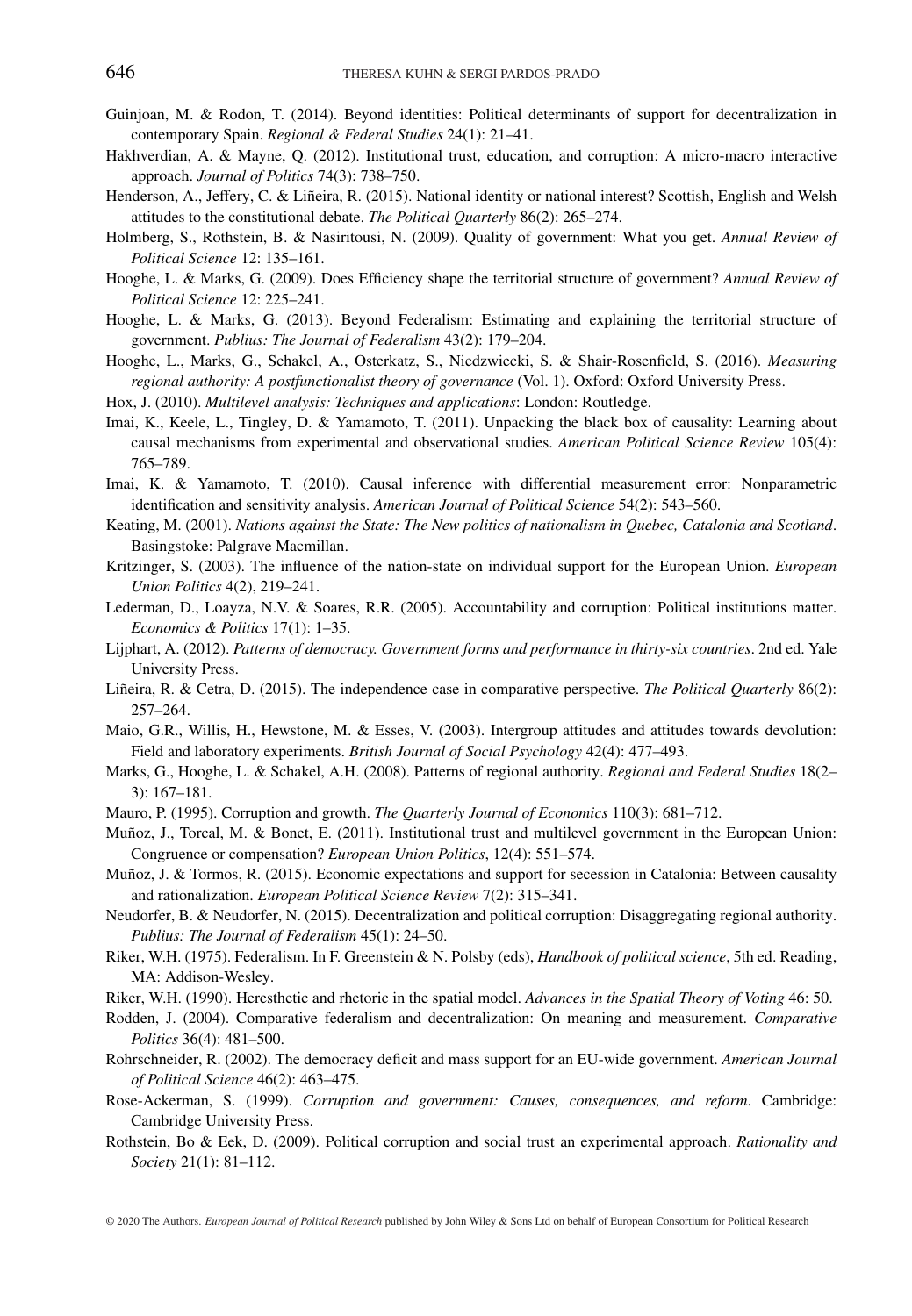- Guinjoan, M. & Rodon, T. (2014). Beyond identities: Political determinants of support for decentralization in contemporary Spain. *Regional & Federal Studies* 24(1): 21–41.
- Hakhverdian, A. & Mayne, Q. (2012). Institutional trust, education, and corruption: A micro-macro interactive approach. *Journal of Politics* 74(3): 738–750.
- Henderson, A., Jeffery, C. & Liñeira, R. (2015). National identity or national interest? Scottish, English and Welsh attitudes to the constitutional debate. *The Political Quarterly* 86(2): 265–274.
- Holmberg, S., Rothstein, B. & Nasiritousi, N. (2009). Quality of government: What you get. *Annual Review of Political Science* 12: 135–161.
- Hooghe, L. & Marks, G. (2009). Does Efficiency shape the territorial structure of government? *Annual Review of Political Science* 12: 225–241.
- Hooghe, L. & Marks, G. (2013). Beyond Federalism: Estimating and explaining the territorial structure of government. *Publius: The Journal of Federalism* 43(2): 179–204.
- Hooghe, L., Marks, G., Schakel, A., Osterkatz, S., Niedzwiecki, S. & Shair-Rosenfield, S. (2016). *Measuring regional authority: A postfunctionalist theory of governance* (Vol. 1). Oxford: Oxford University Press.
- Hox, J. (2010). *Multilevel analysis: Techniques and applications*: London: Routledge.
- Imai, K., Keele, L., Tingley, D. & Yamamoto, T. (2011). Unpacking the black box of causality: Learning about causal mechanisms from experimental and observational studies. *American Political Science Review* 105(4): 765–789.
- Imai, K. & Yamamoto, T. (2010). Causal inference with differential measurement error: Nonparametric identification and sensitivity analysis. *American Journal of Political Science* 54(2): 543–560.
- Keating, M. (2001). *Nations against the State: The New politics of nationalism in Quebec, Catalonia and Scotland*. Basingstoke: Palgrave Macmillan.
- Kritzinger, S. (2003). The influence of the nation-state on individual support for the European Union. *European Union Politics* 4(2), 219–241.
- Lederman, D., Loayza, N.V. & Soares, R.R. (2005). Accountability and corruption: Political institutions matter. *Economics & Politics* 17(1): 1–35.
- Lijphart, A. (2012). *Patterns of democracy. Government forms and performance in thirty-six countries*. 2nd ed. Yale University Press.
- Liñeira, R. & Cetra, D. (2015). The independence case in comparative perspective. *The Political Quarterly* 86(2): 257–264.
- Maio, G.R., Willis, H., Hewstone, M. & Esses, V. (2003). Intergroup attitudes and attitudes towards devolution: Field and laboratory experiments. *British Journal of Social Psychology* 42(4): 477–493.
- Marks, G., Hooghe, L. & Schakel, A.H. (2008). Patterns of regional authority. *Regional and Federal Studies* 18(2– 3): 167–181.
- Mauro, P. (1995). Corruption and growth. *The Quarterly Journal of Economics* 110(3): 681–712.
- Muñoz, J., Torcal, M. & Bonet, E. (2011). Institutional trust and multilevel government in the European Union: Congruence or compensation? *European Union Politics*, 12(4): 551–574.
- Muñoz, J. & Tormos, R. (2015). Economic expectations and support for secession in Catalonia: Between causality and rationalization. *European Political Science Review* 7(2): 315–341.
- Neudorfer, B. & Neudorfer, N. (2015). Decentralization and political corruption: Disaggregating regional authority. *Publius: The Journal of Federalism* 45(1): 24–50.
- Riker, W.H. (1975). Federalism. In F. Greenstein & N. Polsby (eds), *Handbook of political science*, 5th ed. Reading, MA: Addison-Wesley.
- Riker, W.H. (1990). Heresthetic and rhetoric in the spatial model. *Advances in the Spatial Theory of Voting* 46: 50.
- Rodden, J. (2004). Comparative federalism and decentralization: On meaning and measurement. *Comparative Politics* 36(4): 481–500.
- Rohrschneider, R. (2002). The democracy deficit and mass support for an EU-wide government. *American Journal of Political Science* 46(2): 463–475.
- Rose-Ackerman, S. (1999). *Corruption and government: Causes, consequences, and reform*. Cambridge: Cambridge University Press.
- Rothstein, Bo & Eek, D. (2009). Political corruption and social trust an experimental approach. *Rationality and Society* 21(1): 81–112.